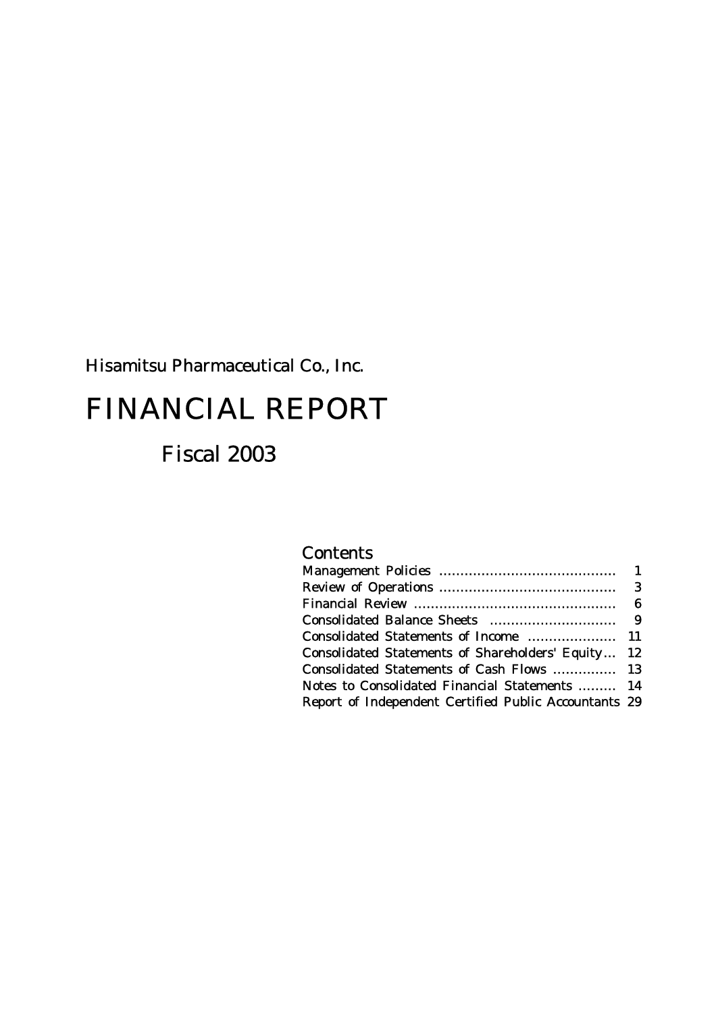# Hisamitsu Pharmaceutical Co., Inc.

# FINANCIAL REPORT

# Fiscal 2003

# **Contents**

| Consolidated Statements of Shareholders' Equity 12    |
|-------------------------------------------------------|
| Consolidated Statements of Cash Flows  13             |
| Notes to Consolidated Financial Statements  14        |
| Report of Independent Certified Public Accountants 29 |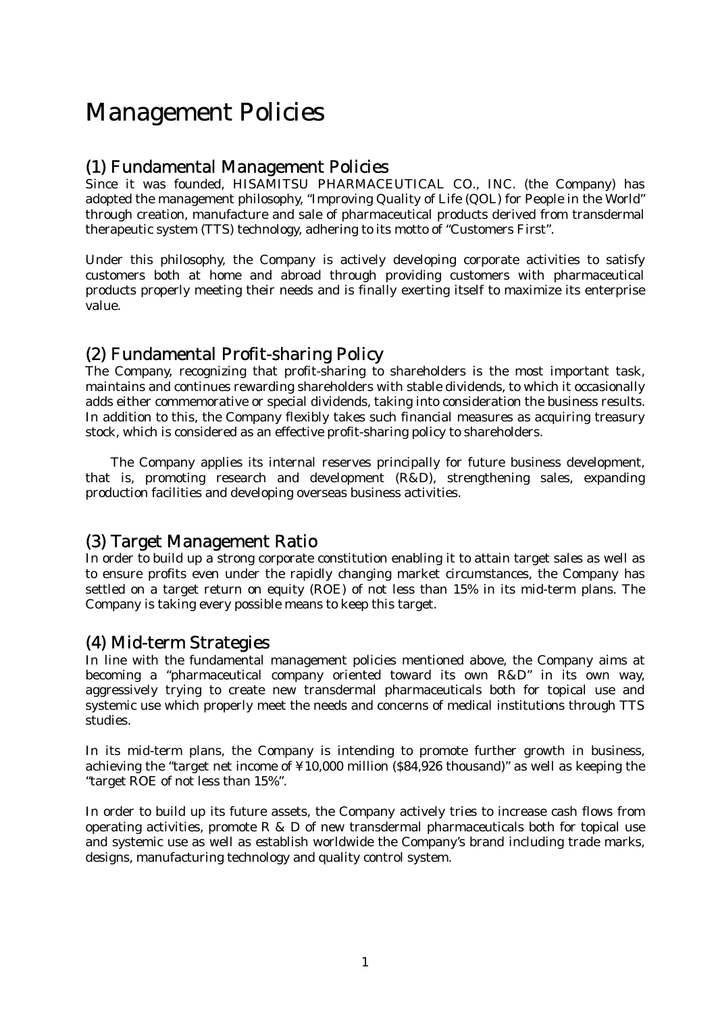# Management Policies

## (1) Fundamental Management Policies

Since it was founded, HISAMITSU PHARMACEUTICAL CO., INC. (the Company) has adopted the management philosophy, "Improving Quality of Life (QOL) for People in the World" through creation, manufacture and sale of pharmaceutical products derived from transdermal therapeutic system (TTS) technology, adhering to its motto of "Customers First".

Under this philosophy, the Company is actively developing corporate activities to satisfy customers both at home and abroad through providing customers with pharmaceutical products properly meeting their needs and is finally exerting itself to maximize its enterprise value.

## (2) Fundamental Profit-sharing Policy

The Company, recognizing that profit-sharing to shareholders is the most important task, maintains and continues rewarding shareholders with stable dividends, to which it occasionally adds either commemorative or special dividends, taking into consideration the business results. In addition to this, the Company flexibly takes such financial measures as acquiring treasury stock, which is considered as an effective profit-sharing policy to shareholders.

The Company applies its internal reserves principally for future business development, that is, promoting research and development (R&D), strengthening sales, expanding production facilities and developing overseas business activities.

## (3) Target Management Ratio

In order to build up a strong corporate constitution enabling it to attain target sales as well as to ensure profits even under the rapidly changing market circumstances, the Company has settled on a target return on equity (ROE) of not less than 15% in its mid-term plans. The Company is taking every possible means to keep this target.

# (4) Mid-term Strategies

In line with the fundamental management policies mentioned above, the Company aims at becoming a "pharmaceutical company oriented toward its own R&D" in its own way, aggressively trying to create new transdermal pharmaceuticals both for topical use and systemic use which properly meet the needs and concerns of medical institutions through TTS studies.

In its mid-term plans, the Company is intending to promote further growth in business, achieving the "target net income of ¥10,000 million (\$84,926 thousand)" as well as keeping the "target ROE of not less than 15%".

In order to build up its future assets, the Company actively tries to increase cash flows from operating activities, promote R & D of new transdermal pharmaceuticals both for topical use and systemic use as well as establish worldwide the Company's brand including trade marks, designs, manufacturing technology and quality control system.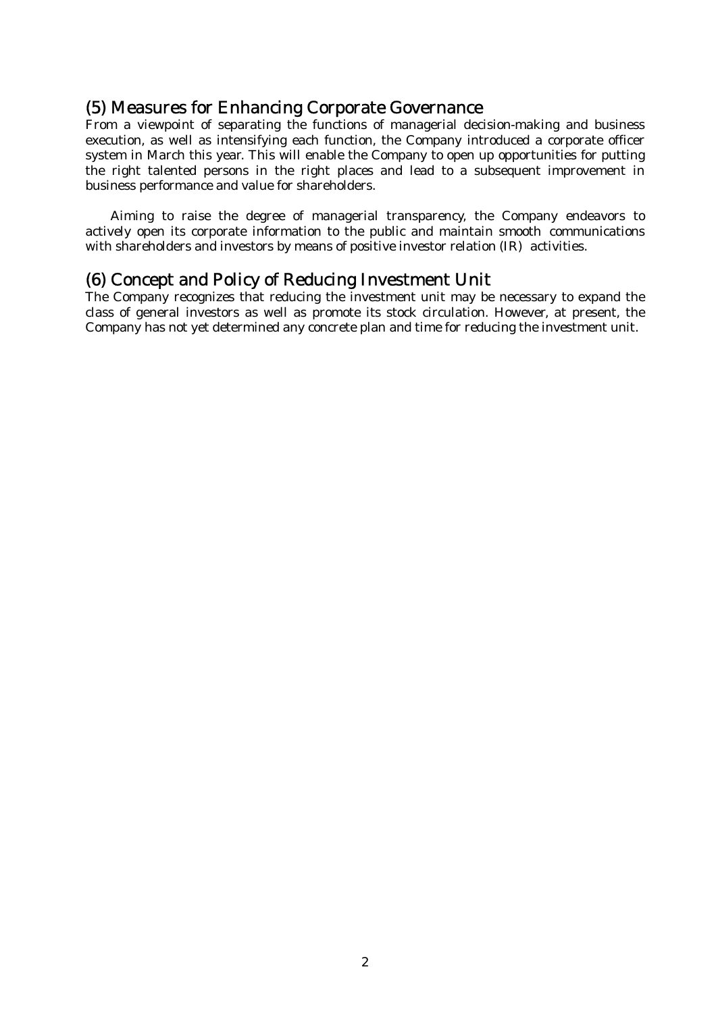## (5) Measures for Enhancing Corporate Governance

From a viewpoint of separating the functions of managerial decision-making and business execution, as well as intensifying each function, the Company introduced a corporate officer system in March this year. This will enable the Company to open up opportunities for putting the right talented persons in the right places and lead to a subsequent improvement in business performance and value for shareholders.

 Aiming to raise the degree of managerial transparency, the Company endeavors to actively open its corporate information to the public and maintain smooth communications with shareholders and investors by means of positive investor relation (IR) activities.

## (6) Concept and Policy of Reducing Investment Unit

The Company recognizes that reducing the investment unit may be necessary to expand the class of general investors as well as promote its stock circulation. However, at present, the Company has not yet determined any concrete plan and time for reducing the investment unit.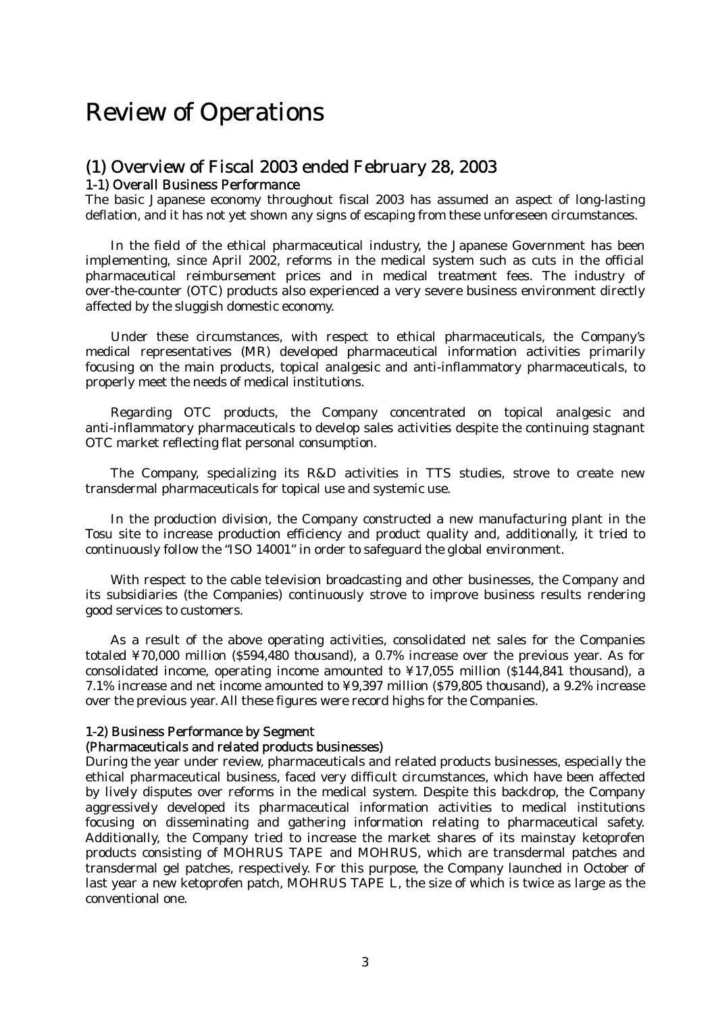# Review of Operations

# (1) Overview of Fiscal 2003 ended February 28, 2003

## 1-1) Overall Business Performance

The basic Japanese economy throughout fiscal 2003 has assumed an aspect of long-lasting deflation, and it has not yet shown any signs of escaping from these unforeseen circumstances.

 In the field of the ethical pharmaceutical industry, the Japanese Government has been implementing, since April 2002, reforms in the medical system such as cuts in the official pharmaceutical reimbursement prices and in medical treatment fees. The industry of over-the-counter (OTC) products also experienced a very severe business environment directly affected by the sluggish domestic economy.

Under these circumstances, with respect to ethical pharmaceuticals, the Company's medical representatives (MR) developed pharmaceutical information activities primarily focusing on the main products, topical analgesic and anti-inflammatory pharmaceuticals, to properly meet the needs of medical institutions.

 Regarding OTC products, the Company concentrated on topical analgesic and anti-inflammatory pharmaceuticals to develop sales activities despite the continuing stagnant OTC market reflecting flat personal consumption.

 The Company, specializing its R&D activities in TTS studies, strove to create new transdermal pharmaceuticals for topical use and systemic use.

 In the production division, the Company constructed a new manufacturing plant in the Tosu site to increase production efficiency and product quality and, additionally, it tried to continuously follow the "ISO 14001" in order to safeguard the global environment.

 With respect to the cable television broadcasting and other businesses, the Company and its subsidiaries (the Companies) continuously strove to improve business results rendering good services to customers.

 As a result of the above operating activities, consolidated net sales for the Companies totaled ¥70,000 million (\$594,480 thousand), a 0.7% increase over the previous year. As for consolidated income, operating income amounted to ¥17,055 million (\$144,841 thousand), a 7.1% increase and net income amounted to ¥9,397 million (\$79,805 thousand), a 9.2% increase over the previous year. All these figures were record highs for the Companies.

#### 1-2) Business Performance by Segment

#### (Pharmaceuticals and related products businesses)

During the year under review, pharmaceuticals and related products businesses, especially the ethical pharmaceutical business, faced very difficult circumstances, which have been affected by lively disputes over reforms in the medical system. Despite this backdrop, the Company aggressively developed its pharmaceutical information activities to medical institutions focusing on disseminating and gathering information relating to pharmaceutical safety. Additionally, the Company tried to increase the market shares of its mainstay ketoprofen products consisting of MOHRUS TAPE and MOHRUS, which are transdermal patches and transdermal gel patches, respectively. For this purpose, the Company launched in October of last year a new ketoprofen patch, MOHRUS TAPE L, the size of which is twice as large as the conventional one.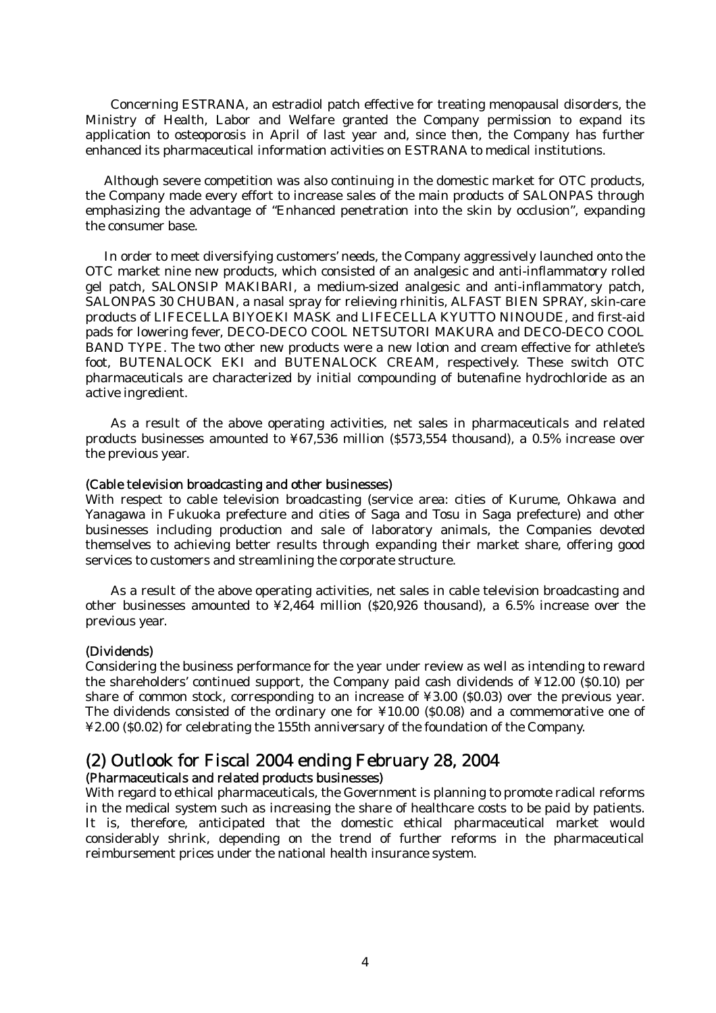Concerning ESTRANA, an estradiol patch effective for treating menopausal disorders, the Ministry of Health, Labor and Welfare granted the Company permission to expand its application to osteoporosis in April of last year and, since then, the Company has further enhanced its pharmaceutical information activities on ESTRANA to medical institutions.

 Although severe competition was also continuing in the domestic market for OTC products, the Company made every effort to increase sales of the main products of SALONPAS through emphasizing the advantage of "Enhanced penetration into the skin by occlusion", expanding the consumer base.

 In order to meet diversifying customers' needs, the Company aggressively launched onto the OTC market nine new products, which consisted of an analgesic and anti-inflammatory rolled gel patch, SALONSIP MAKIBARI, a medium-sized analgesic and anti-inflammatory patch, SALONPAS 30 CHUBAN, a nasal spray for relieving rhinitis, ALFAST BIEN SPRAY, skin-care products of LIFECELLA BIYOEKI MASK and LIFECELLA KYUTTO NINOUDE, and first-aid pads for lowering fever, DECO-DECO COOL NETSUTORI MAKURA and DECO-DECO COOL BAND TYPE. The two other new products were a new lotion and cream effective for athlete's foot, BUTENALOCK EKI and BUTENALOCK CREAM, respectively. These switch OTC pharmaceuticals are characterized by initial compounding of butenafine hydrochloride as an active ingredient.

As a result of the above operating activities, net sales in pharmaceuticals and related products businesses amounted to ¥67,536 million (\$573,554 thousand), a 0.5% increase over the previous year.

#### (Cable television broadcasting and other businesses)

With respect to cable television broadcasting (service area: cities of Kurume, Ohkawa and Yanagawa in Fukuoka prefecture and cities of Saga and Tosu in Saga prefecture) and other businesses including production and sale of laboratory animals, the Companies devoted themselves to achieving better results through expanding their market share, offering good services to customers and streamlining the corporate structure.

As a result of the above operating activities, net sales in cable television broadcasting and other businesses amounted to ¥2,464 million (\$20,926 thousand), a 6.5% increase over the previous year.

#### (Dividends)

Considering the business performance for the year under review as well as intending to reward the shareholders' continued support, the Company paid cash dividends of ¥12.00 (\$0.10) per share of common stock, corresponding to an increase of ¥3.00 (\$0.03) over the previous year. The dividends consisted of the ordinary one for ¥10.00 (\$0.08) and a commemorative one of ¥2.00 (\$0.02) for celebrating the 155th anniversary of the foundation of the Company.

# (2) Outlook for Fiscal 2004 ending February 28, 2004

### (Pharmaceuticals and related products businesses)

With regard to ethical pharmaceuticals, the Government is planning to promote radical reforms in the medical system such as increasing the share of healthcare costs to be paid by patients. It is, therefore, anticipated that the domestic ethical pharmaceutical market would considerably shrink, depending on the trend of further reforms in the pharmaceutical reimbursement prices under the national health insurance system.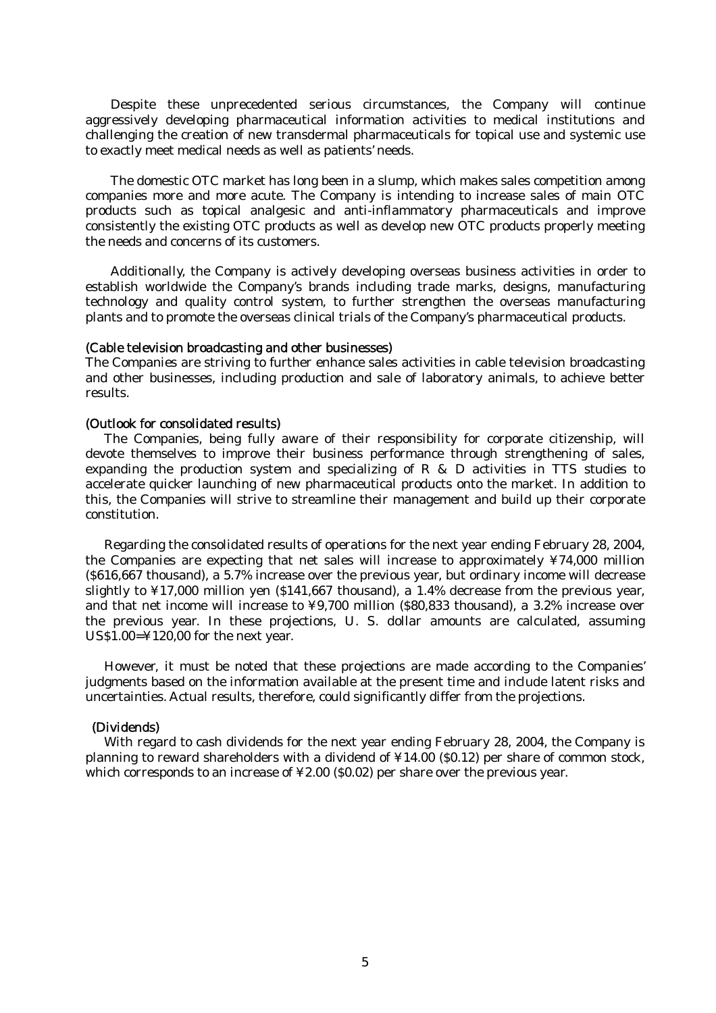Despite these unprecedented serious circumstances, the Company will continue aggressively developing pharmaceutical information activities to medical institutions and challenging the creation of new transdermal pharmaceuticals for topical use and systemic use to exactly meet medical needs as well as patients' needs.

 The domestic OTC market has long been in a slump, which makes sales competition among companies more and more acute. The Company is intending to increase sales of main OTC products such as topical analgesic and anti-inflammatory pharmaceuticals and improve consistently the existing OTC products as well as develop new OTC products properly meeting the needs and concerns of its customers.

 Additionally, the Company is actively developing overseas business activities in order to establish worldwide the Company's brands including trade marks, designs, manufacturing technology and quality control system, to further strengthen the overseas manufacturing plants and to promote the overseas clinical trials of the Company's pharmaceutical products.

#### (Cable television broadcasting and other businesses)

The Companies are striving to further enhance sales activities in cable television broadcasting and other businesses, including production and sale of laboratory animals, to achieve better results.

#### (Outlook for consolidated results)

 The Companies, being fully aware of their responsibility for corporate citizenship, will devote themselves to improve their business performance through strengthening of sales, expanding the production system and specializing of R & D activities in TTS studies to accelerate quicker launching of new pharmaceutical products onto the market. In addition to this, the Companies will strive to streamline their management and build up their corporate constitution.

 Regarding the consolidated results of operations for the next year ending February 28, 2004, the Companies are expecting that net sales will increase to approximately ¥74,000 million (\$616,667 thousand), a 5.7% increase over the previous year, but ordinary income will decrease slightly to ¥17,000 million yen (\$141,667 thousand), a 1.4% decrease from the previous year, and that net income will increase to ¥9,700 million (\$80,833 thousand), a 3.2% increase over the previous year. In these projections, U. S. dollar amounts are calculated, assuming US\$1.00=¥120,00 for the next year.

 However, it must be noted that these projections are made according to the Companies' judgments based on the information available at the present time and include latent risks and uncertainties. Actual results, therefore, could significantly differ from the projections.

#### (Dividends)

 With regard to cash dividends for the next year ending February 28, 2004, the Company is planning to reward shareholders with a dividend of ¥14.00 (\$0.12) per share of common stock, which corresponds to an increase of ¥2.00 (\$0.02) per share over the previous year.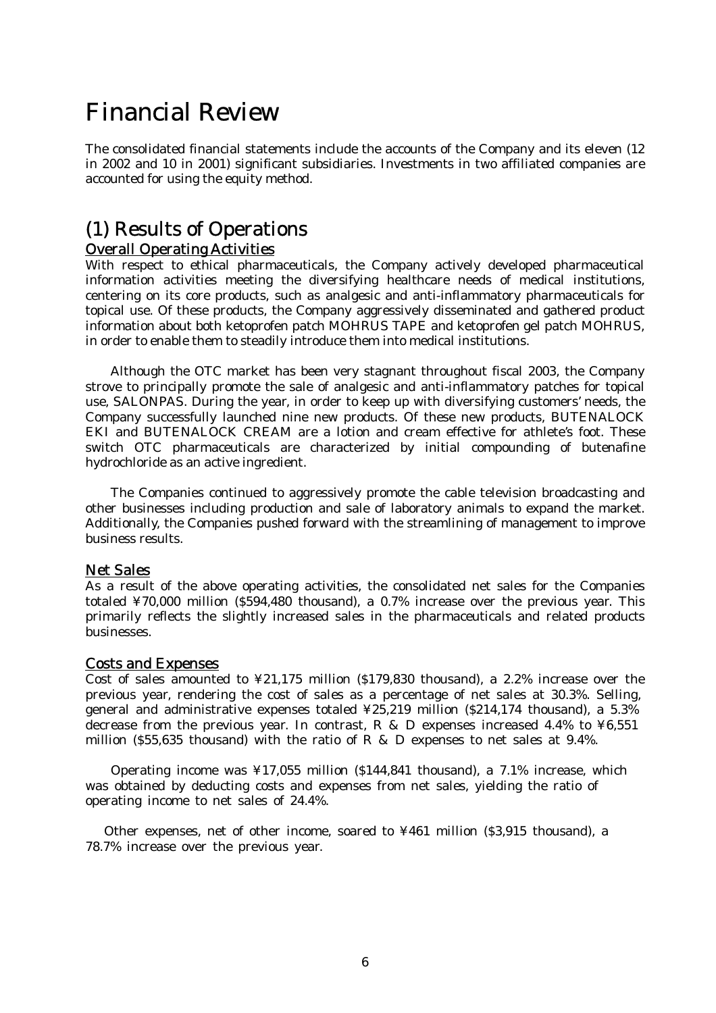# Financial Review

The consolidated financial statements include the accounts of the Company and its eleven (12 in 2002 and 10 in 2001) significant subsidiaries. Investments in two affiliated companies are accounted for using the equity method.

# (1) Results of Operations Overall Operating Activities

With respect to ethical pharmaceuticals, the Company actively developed pharmaceutical information activities meeting the diversifying healthcare needs of medical institutions, centering on its core products, such as analgesic and anti-inflammatory pharmaceuticals for topical use. Of these products, the Company aggressively disseminated and gathered product information about both ketoprofen patch MOHRUS TAPE and ketoprofen gel patch MOHRUS, in order to enable them to steadily introduce them into medical institutions.

 Although the OTC market has been very stagnant throughout fiscal 2003, the Company strove to principally promote the sale of analgesic and anti-inflammatory patches for topical use, SALONPAS. During the year, in order to keep up with diversifying customers' needs, the Company successfully launched nine new products. Of these new products, BUTENALOCK EKI and BUTENALOCK CREAM are a lotion and cream effective for athlete's foot. These switch OTC pharmaceuticals are characterized by initial compounding of butenafine hydrochloride as an active ingredient.

The Companies continued to aggressively promote the cable television broadcasting and other businesses including production and sale of laboratory animals to expand the market. Additionally, the Companies pushed forward with the streamlining of management to improve business results.

### Net Sales

As a result of the above operating activities, the consolidated net sales for the Companies totaled ¥70,000 million (\$594,480 thousand), a 0.7% increase over the previous year. This primarily reflects the slightly increased sales in the pharmaceuticals and related products businesses.

#### Costs and Expenses

Cost of sales amounted to ¥21,175 million (\$179,830 thousand), a 2.2% increase over the previous year, rendering the cost of sales as a percentage of net sales at 30.3%. Selling, general and administrative expenses totaled ¥25,219 million (\$214,174 thousand), a 5.3% decrease from the previous year. In contrast, R & D expenses increased 4.4% to  $\yen 6,551$ million (\$55,635 thousand) with the ratio of R & D expenses to net sales at 9.4%.

Operating income was  $\frac{1}{2}$  17.055 million (\$144,841 thousand), a 7.1% increase, which was obtained by deducting costs and expenses from net sales, yielding the ratio of operating income to net sales of 24.4%.

 Other expenses, net of other income, soared to ¥461 million (\$3,915 thousand), a 78.7% increase over the previous year.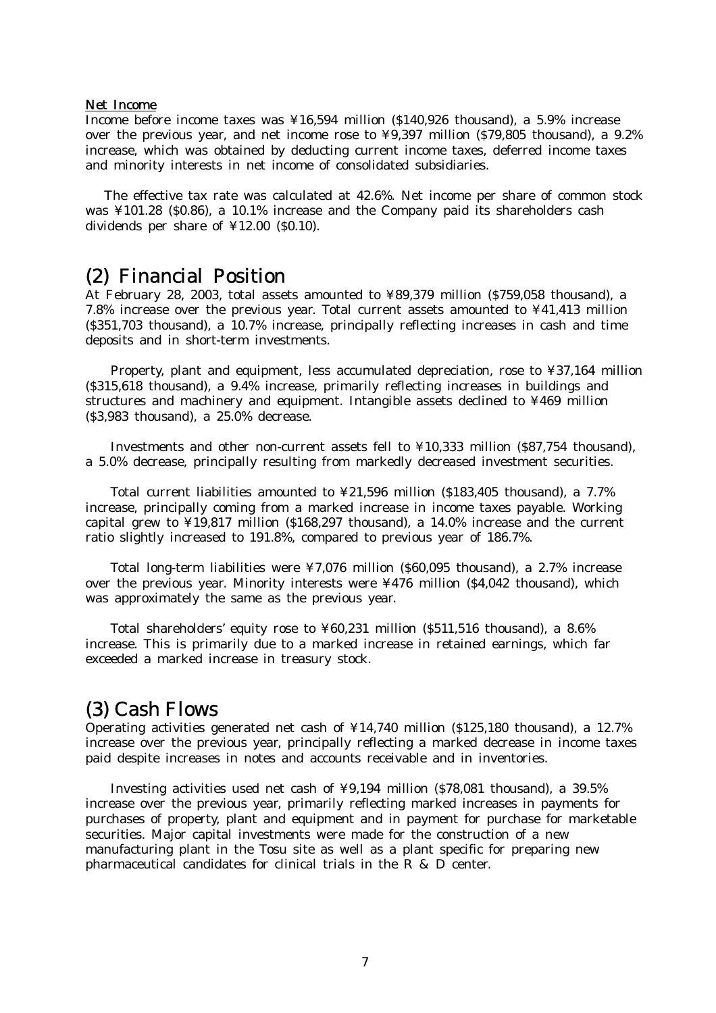#### Net Income

Income before income taxes was ¥16,594 million (\$140,926 thousand), a 5.9% increase over the previous year, and net income rose to ¥9,397 million (\$79,805 thousand), a 9.2% increase, which was obtained by deducting current income taxes, deferred income taxes and minority interests in net income of consolidated subsidiaries.

The effective tax rate was calculated at 42.6%. Net income per share of common stock was ¥101.28 (\$0.86), a 10.1% increase and the Company paid its shareholders cash dividends per share of ¥12.00 (\$0.10).

# (2) Financial Position

At February 28, 2003, total assets amounted to ¥89,379 million (\$759,058 thousand), a 7.8% increase over the previous year. Total current assets amounted to ¥41,413 million (\$351,703 thousand), a 10.7% increase, principally reflecting increases in cash and time deposits and in short-term investments.

 Property, plant and equipment, less accumulated depreciation, rose to ¥37,164 million (\$315,618 thousand), a 9.4% increase, primarily reflecting increases in buildings and structures and machinery and equipment. Intangible assets declined to ¥469 million (\$3,983 thousand), a 25.0% decrease.

 Investments and other non-current assets fell to ¥10,333 million (\$87,754 thousand), a 5.0% decrease, principally resulting from markedly decreased investment securities.

 Total current liabilities amounted to ¥21,596 million (\$183,405 thousand), a 7.7% increase, principally coming from a marked increase in income taxes payable. Working capital grew to ¥19,817 million (\$168,297 thousand), a 14.0% increase and the current ratio slightly increased to 191.8%, compared to previous year of 186.7%.

 Total long-term liabilities were ¥7,076 million (\$60,095 thousand), a 2.7% increase over the previous year. Minority interests were ¥476 million (\$4,042 thousand), which was approximately the same as the previous year.

 Total shareholders' equity rose to ¥60,231 million (\$511,516 thousand), a 8.6% increase. This is primarily due to a marked increase in retained earnings, which far exceeded a marked increase in treasury stock.

# (3) Cash Flows

Operating activities generated net cash of ¥14,740 million (\$125,180 thousand), a 12.7% increase over the previous year, principally reflecting a marked decrease in income taxes paid despite increases in notes and accounts receivable and in inventories.

 Investing activities used net cash of ¥9,194 million (\$78,081 thousand), a 39.5% increase over the previous year, primarily reflecting marked increases in payments for purchases of property, plant and equipment and in payment for purchase for marketable securities. Major capital investments were made for the construction of a new manufacturing plant in the Tosu site as well as a plant specific for preparing new pharmaceutical candidates for clinical trials in the R & D center.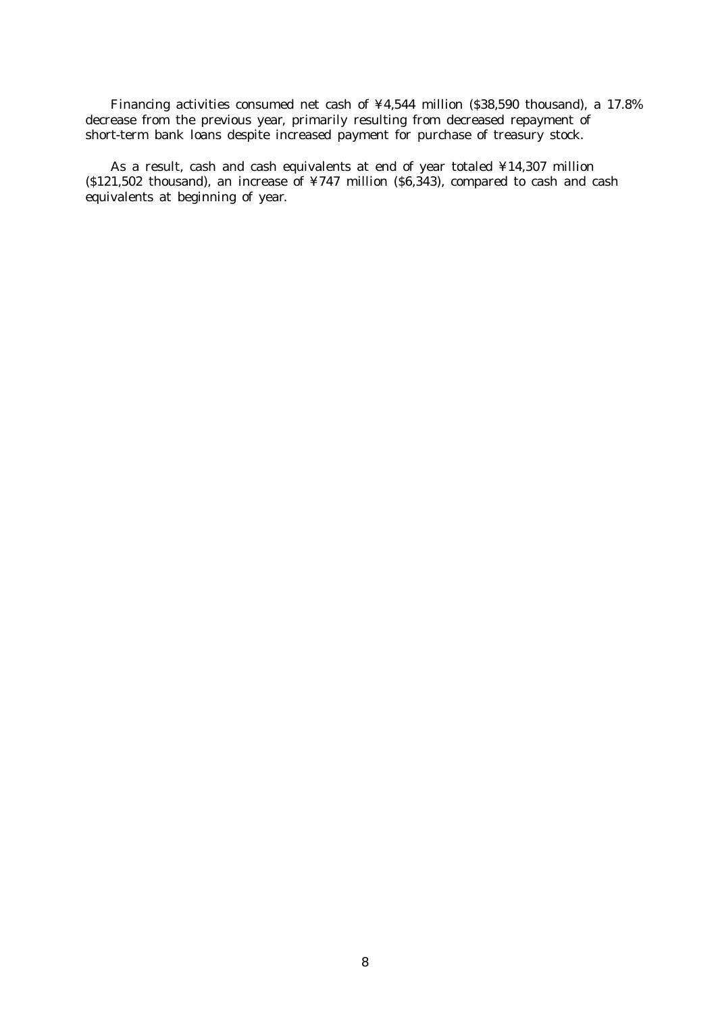Financing activities consumed net cash of ¥4,544 million (\$38,590 thousand), a 17.8% decrease from the previous year, primarily resulting from decreased repayment of short-term bank loans despite increased payment for purchase of treasury stock.

 As a result, cash and cash equivalents at end of year totaled ¥14,307 million ( $$121,502$  thousand), an increase of  $\frac{1}{4747}$  million ( $$6,343$ ), compared to cash and cash equivalents at beginning of year.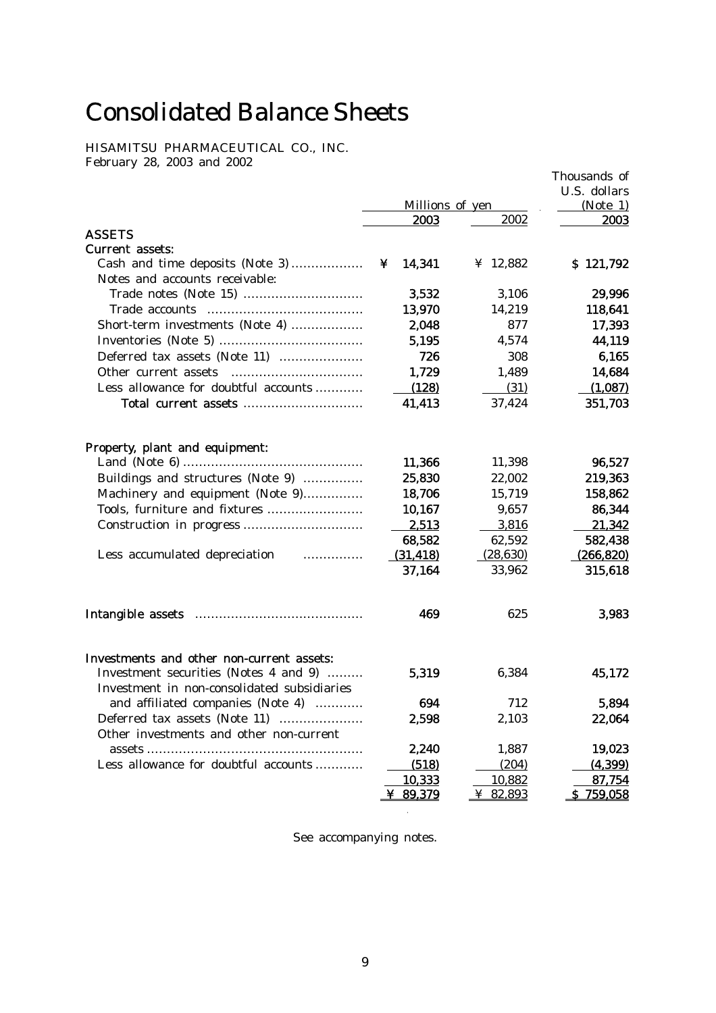# Consolidated Balance Sheets

HISAMITSU PHARMACEUTICAL CO., INC. February 28, 2003 and 2002

|                                                                                                                                                                                                                                      |                 |           | Thousands of<br>U.S. dollars |
|--------------------------------------------------------------------------------------------------------------------------------------------------------------------------------------------------------------------------------------|-----------------|-----------|------------------------------|
|                                                                                                                                                                                                                                      | Millions of yen |           | (Note 1)                     |
|                                                                                                                                                                                                                                      | 2003            | 2002      | 2003                         |
| <b>ASSETS</b>                                                                                                                                                                                                                        |                 |           |                              |
| <b>Current assets:</b>                                                                                                                                                                                                               |                 |           |                              |
| Cash and time deposits (Note 3)                                                                                                                                                                                                      | 14,341<br>¥     | ¥ 12,882  | \$121,792                    |
| Notes and accounts receivable:                                                                                                                                                                                                       |                 |           |                              |
|                                                                                                                                                                                                                                      | 3,532           | 3,106     | 29,996                       |
|                                                                                                                                                                                                                                      | 13,970          | 14,219    | 118,641                      |
| Short-term investments (Note 4)                                                                                                                                                                                                      | 2,048           | 877       | 17,393                       |
|                                                                                                                                                                                                                                      | 5,195           | 4,574     | 44,119                       |
| Deferred tax assets (Note 11)                                                                                                                                                                                                        | 726             | 308       | 6,165                        |
| Other current assets                                                                                                                                                                                                                 | 1,729           | 1,489     | 14,684                       |
| Less allowance for doubtful accounts                                                                                                                                                                                                 | (128)           | (31)      | (1,087)                      |
|                                                                                                                                                                                                                                      | 41,413          | 37,424    | 351,703                      |
| Property, plant and equipment:                                                                                                                                                                                                       |                 |           |                              |
|                                                                                                                                                                                                                                      | 11,366          | 11,398    | 96,527                       |
| Buildings and structures (Note 9)                                                                                                                                                                                                    | 25,830          | 22,002    | 219,363                      |
| Machinery and equipment (Note 9)                                                                                                                                                                                                     | 18,706          | 15,719    | 158,862                      |
| Tools, furniture and fixtures                                                                                                                                                                                                        | 10,167          | 9,657     | 86,344                       |
|                                                                                                                                                                                                                                      | 2,513           | 3,816     | 21,342                       |
|                                                                                                                                                                                                                                      | 68,582          | 62,592    | 582,438                      |
| Less accumulated depreciation <b>contains the set of the set of the set of the set of the set of the set of the set of the set of the set of the set of the set of the set of the set of the set of the set of the set of the se</b> | (31, 418)       | (28, 630) | (266, 820)                   |
|                                                                                                                                                                                                                                      | 37,164          | 33,962    | 315,618                      |
|                                                                                                                                                                                                                                      | 469             | 625       | 3,983                        |
|                                                                                                                                                                                                                                      |                 |           |                              |
| Investments and other non-current assets:                                                                                                                                                                                            |                 |           |                              |
| Investment securities (Notes 4 and 9)<br>Investment in non-consolidated subsidiaries                                                                                                                                                 | 5,319           | 6,384     | 45,172                       |
| and affiliated companies (Note 4)<br>.                                                                                                                                                                                               | 694             | 712       | 5,894                        |
| Deferred tax assets (Note 11)                                                                                                                                                                                                        | 2,598           | 2,103     | 22,064                       |
| Other investments and other non-current                                                                                                                                                                                              |                 |           |                              |
|                                                                                                                                                                                                                                      | 2,240           | 1,887     | 19,023                       |
| Less allowance for doubtful accounts                                                                                                                                                                                                 | (518)           | (204)     | (4, 399)                     |
|                                                                                                                                                                                                                                      | 10,333          | 10,882    | 87,754                       |
|                                                                                                                                                                                                                                      | ¥ 89,379        | ¥ 82,893  | \$759,058                    |

See accompanying notes.

 $\mathcal{L}^{\mathcal{L}}$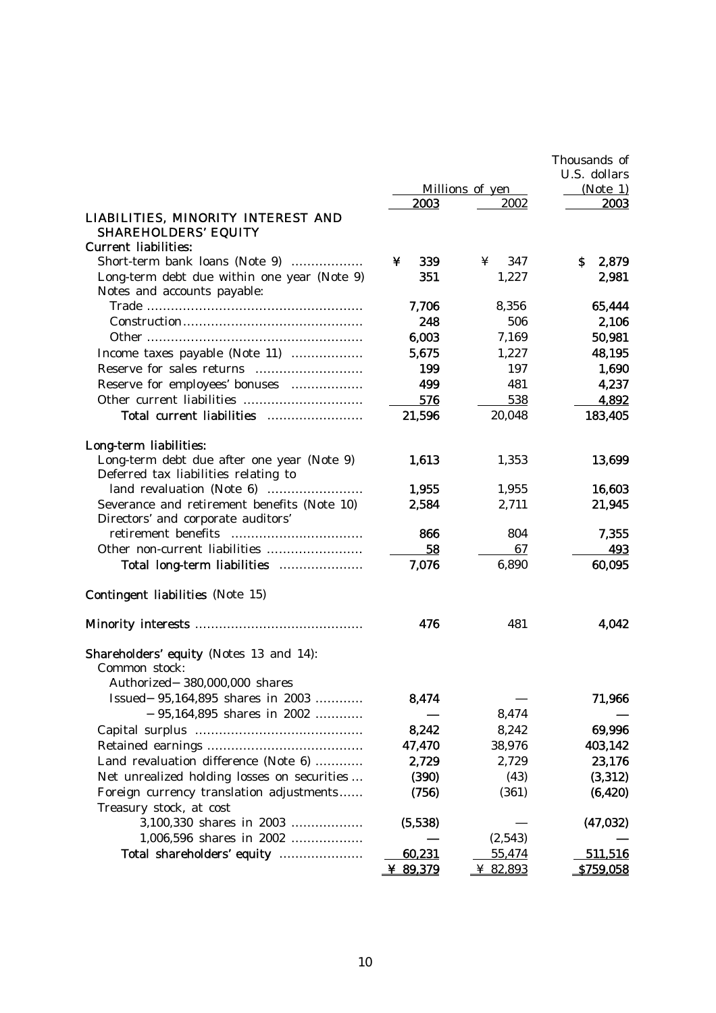|                                                               | Thousands of |                 |                  |
|---------------------------------------------------------------|--------------|-----------------|------------------|
|                                                               |              |                 | U.S. dollars     |
|                                                               |              | Millions of yen | (Note 1)         |
|                                                               | 2003         | 2002            | 2003             |
| LIABILITIES, MINORITY INTEREST AND                            |              |                 |                  |
| <b>SHAREHOLDERS' EQUITY</b>                                   |              |                 |                  |
| <b>Current liabilities:</b><br>Short-term bank loans (Note 9) | 339<br>¥     | 347<br>¥        | S.               |
| Long-term debt due within one year (Note 9)                   | 351          | 1,227           | 2,879<br>2,981   |
| Notes and accounts payable:                                   |              |                 |                  |
|                                                               | 7,706        | 8,356           | 65,444           |
|                                                               | 248          | 506             | 2,106            |
|                                                               | 6,003        | 7,169           | 50,981           |
| Income taxes payable (Note 11)                                | 5,675        | 1,227           | 48,195           |
|                                                               | 199          | 197             | 1,690            |
| Reserve for employees' bonuses                                | 499          | 481             | 4,237            |
| Other current liabilities                                     | 576          | 538             | 4,892            |
| Total current liabilities                                     | 21,596       | 20,048          | 183,405          |
|                                                               |              |                 |                  |
| Long-term liabilities:                                        |              |                 |                  |
| Long-term debt due after one year (Note 9)                    | 1,613        | 1,353           | 13,699           |
| Deferred tax liabilities relating to                          |              |                 |                  |
|                                                               | 1.955        | 1,955           | 16,603           |
| Severance and retirement benefits (Note 10)                   | 2,584        | 2,711           | 21,945           |
| Directors' and corporate auditors'                            |              |                 |                  |
| retirement benefits                                           | 866          | 804             | 7,355            |
| Other non-current liabilities                                 | 58           | 67              | 493              |
| Total long-term liabilities                                   | 7,076        | 6,890           | 60,095           |
| <b>Contingent liabilities</b> (Note 15)                       |              |                 |                  |
|                                                               | 476          | 481             | 4.042            |
| <b>Shareholders' equity (Notes 13 and 14):</b>                |              |                 |                  |
| Common stock:                                                 |              |                 |                  |
| Authorized 380,000,000 shares                                 |              |                 |                  |
| Issued 95,164,895 shares in 2003                              | 8,474        |                 | 71,966           |
| 95,164,895 shares in 2002                                     |              | 8,474           |                  |
|                                                               | 8,242        | 8,242           | 69,996           |
|                                                               | 47,470       | 38,976          | 403,142          |
| Land revaluation difference (Note 6)                          | 2,729        | 2,729           | 23,176           |
| Net unrealized holding losses on securities                   | (390)        | (43)            | (3,312)          |
| Foreign currency translation adjustments                      | (756)        | (361)           | (6, 420)         |
| Treasury stock, at cost                                       |              |                 |                  |
| 3,100,330 shares in 2003                                      | (5,538)      |                 | (47, 032)        |
| 1,006,596 shares in 2002                                      |              | (2,543)         |                  |
| Total shareholders' equity                                    | 60,231       | 55,474          | 511,516          |
|                                                               | ¥ 89,379     | ¥ 82,893        | <u>\$759,058</u> |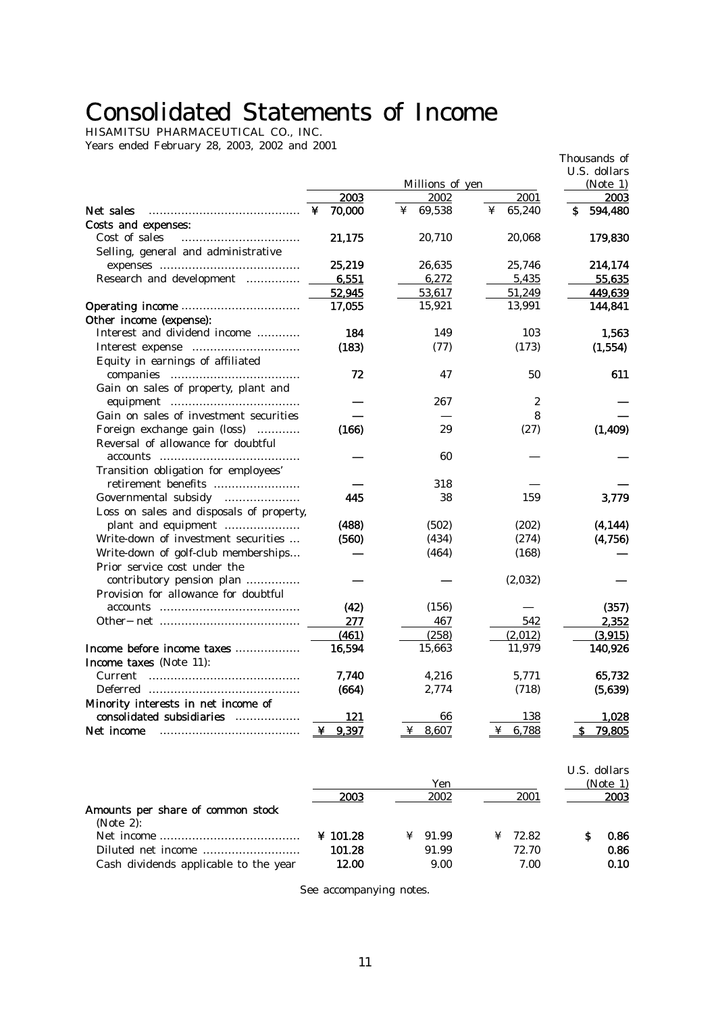# Consolidated Statements of Income

HISAMITSU PHARMACEUTICAL CO., INC. Years ended February 28, 2003, 2002 and 2001

| U.S. dollars<br>Millions of yen<br>(Note 1)<br>2003<br>2002<br>2001<br>2003<br>Net sales<br>70,000<br>69,538<br>65,240<br>¥<br>¥<br>¥<br>s<br>594,480<br>Costs and expenses:<br>Cost of sales<br>21,175<br>20,710<br>20,068<br>179,830<br>Selling, general and administrative<br>25,219<br>214,174<br>26,635<br>25,746<br>Research and development<br>6,551<br>6,272<br>5,435<br>55,635<br>52,945<br>53,617<br>51,249<br>449,639<br>15,921<br>13,991<br>17,055<br>144,841<br>Other income (expense):<br>Interest and dividend income<br>184<br>149<br>103<br>1,563<br>(183)<br>(77)<br>(173)<br>(1, 554)<br>Equity in earnings of affiliated<br>72<br>50<br>611<br>47<br>Gain on sales of property, plant and<br>267<br>2<br>Gain on sales of investment securities<br>8<br>Foreign exchange gain (loss)<br>(166)<br>(27)<br>29<br>(1,409)<br>Reversal of allowance for doubtful<br>60<br>accounts<br>Transition obligation for employees'<br>retirement benefits<br>318<br>Governmental subsidy<br>445<br>38<br>159<br>3,779<br>Loss on sales and disposals of property,<br>(488)<br>(4, 144)<br>plant and equipment<br>(502)<br>(202)<br>(560)<br>(4,756)<br>Write-down of investment securities<br>(434)<br>(274)<br>Write-down of golf-club memberships<br>(464)<br>(168)<br>Prior service cost under the<br>contributory pension plan<br>(2,032)<br>Provision for allowance for doubtful<br>(42)<br>(156)<br>(357)<br>277<br>542<br>2,352<br>467<br>(461)<br>(258)<br>(2,012)<br>(3,915)<br>Income before income taxes<br>16,594<br>15,663<br>11,979<br>140,926<br>Income taxes (Note 11):<br><b>Current</b><br>7,740<br>4,216<br>5,771<br>65,732<br>(664)<br>2,774<br>(718)<br>(5,639) |                                     |  | Thousands of |
|----------------------------------------------------------------------------------------------------------------------------------------------------------------------------------------------------------------------------------------------------------------------------------------------------------------------------------------------------------------------------------------------------------------------------------------------------------------------------------------------------------------------------------------------------------------------------------------------------------------------------------------------------------------------------------------------------------------------------------------------------------------------------------------------------------------------------------------------------------------------------------------------------------------------------------------------------------------------------------------------------------------------------------------------------------------------------------------------------------------------------------------------------------------------------------------------------------------------------------------------------------------------------------------------------------------------------------------------------------------------------------------------------------------------------------------------------------------------------------------------------------------------------------------------------------------------------------------------------------------------------------------------------------------------------------------------|-------------------------------------|--|--------------|
|                                                                                                                                                                                                                                                                                                                                                                                                                                                                                                                                                                                                                                                                                                                                                                                                                                                                                                                                                                                                                                                                                                                                                                                                                                                                                                                                                                                                                                                                                                                                                                                                                                                                                              |                                     |  |              |
|                                                                                                                                                                                                                                                                                                                                                                                                                                                                                                                                                                                                                                                                                                                                                                                                                                                                                                                                                                                                                                                                                                                                                                                                                                                                                                                                                                                                                                                                                                                                                                                                                                                                                              |                                     |  |              |
|                                                                                                                                                                                                                                                                                                                                                                                                                                                                                                                                                                                                                                                                                                                                                                                                                                                                                                                                                                                                                                                                                                                                                                                                                                                                                                                                                                                                                                                                                                                                                                                                                                                                                              |                                     |  |              |
|                                                                                                                                                                                                                                                                                                                                                                                                                                                                                                                                                                                                                                                                                                                                                                                                                                                                                                                                                                                                                                                                                                                                                                                                                                                                                                                                                                                                                                                                                                                                                                                                                                                                                              |                                     |  |              |
|                                                                                                                                                                                                                                                                                                                                                                                                                                                                                                                                                                                                                                                                                                                                                                                                                                                                                                                                                                                                                                                                                                                                                                                                                                                                                                                                                                                                                                                                                                                                                                                                                                                                                              |                                     |  |              |
|                                                                                                                                                                                                                                                                                                                                                                                                                                                                                                                                                                                                                                                                                                                                                                                                                                                                                                                                                                                                                                                                                                                                                                                                                                                                                                                                                                                                                                                                                                                                                                                                                                                                                              |                                     |  |              |
|                                                                                                                                                                                                                                                                                                                                                                                                                                                                                                                                                                                                                                                                                                                                                                                                                                                                                                                                                                                                                                                                                                                                                                                                                                                                                                                                                                                                                                                                                                                                                                                                                                                                                              |                                     |  |              |
|                                                                                                                                                                                                                                                                                                                                                                                                                                                                                                                                                                                                                                                                                                                                                                                                                                                                                                                                                                                                                                                                                                                                                                                                                                                                                                                                                                                                                                                                                                                                                                                                                                                                                              |                                     |  |              |
|                                                                                                                                                                                                                                                                                                                                                                                                                                                                                                                                                                                                                                                                                                                                                                                                                                                                                                                                                                                                                                                                                                                                                                                                                                                                                                                                                                                                                                                                                                                                                                                                                                                                                              |                                     |  |              |
|                                                                                                                                                                                                                                                                                                                                                                                                                                                                                                                                                                                                                                                                                                                                                                                                                                                                                                                                                                                                                                                                                                                                                                                                                                                                                                                                                                                                                                                                                                                                                                                                                                                                                              |                                     |  |              |
|                                                                                                                                                                                                                                                                                                                                                                                                                                                                                                                                                                                                                                                                                                                                                                                                                                                                                                                                                                                                                                                                                                                                                                                                                                                                                                                                                                                                                                                                                                                                                                                                                                                                                              |                                     |  |              |
|                                                                                                                                                                                                                                                                                                                                                                                                                                                                                                                                                                                                                                                                                                                                                                                                                                                                                                                                                                                                                                                                                                                                                                                                                                                                                                                                                                                                                                                                                                                                                                                                                                                                                              |                                     |  |              |
|                                                                                                                                                                                                                                                                                                                                                                                                                                                                                                                                                                                                                                                                                                                                                                                                                                                                                                                                                                                                                                                                                                                                                                                                                                                                                                                                                                                                                                                                                                                                                                                                                                                                                              |                                     |  |              |
|                                                                                                                                                                                                                                                                                                                                                                                                                                                                                                                                                                                                                                                                                                                                                                                                                                                                                                                                                                                                                                                                                                                                                                                                                                                                                                                                                                                                                                                                                                                                                                                                                                                                                              |                                     |  |              |
|                                                                                                                                                                                                                                                                                                                                                                                                                                                                                                                                                                                                                                                                                                                                                                                                                                                                                                                                                                                                                                                                                                                                                                                                                                                                                                                                                                                                                                                                                                                                                                                                                                                                                              |                                     |  |              |
|                                                                                                                                                                                                                                                                                                                                                                                                                                                                                                                                                                                                                                                                                                                                                                                                                                                                                                                                                                                                                                                                                                                                                                                                                                                                                                                                                                                                                                                                                                                                                                                                                                                                                              |                                     |  |              |
|                                                                                                                                                                                                                                                                                                                                                                                                                                                                                                                                                                                                                                                                                                                                                                                                                                                                                                                                                                                                                                                                                                                                                                                                                                                                                                                                                                                                                                                                                                                                                                                                                                                                                              |                                     |  |              |
|                                                                                                                                                                                                                                                                                                                                                                                                                                                                                                                                                                                                                                                                                                                                                                                                                                                                                                                                                                                                                                                                                                                                                                                                                                                                                                                                                                                                                                                                                                                                                                                                                                                                                              |                                     |  |              |
|                                                                                                                                                                                                                                                                                                                                                                                                                                                                                                                                                                                                                                                                                                                                                                                                                                                                                                                                                                                                                                                                                                                                                                                                                                                                                                                                                                                                                                                                                                                                                                                                                                                                                              |                                     |  |              |
|                                                                                                                                                                                                                                                                                                                                                                                                                                                                                                                                                                                                                                                                                                                                                                                                                                                                                                                                                                                                                                                                                                                                                                                                                                                                                                                                                                                                                                                                                                                                                                                                                                                                                              |                                     |  |              |
|                                                                                                                                                                                                                                                                                                                                                                                                                                                                                                                                                                                                                                                                                                                                                                                                                                                                                                                                                                                                                                                                                                                                                                                                                                                                                                                                                                                                                                                                                                                                                                                                                                                                                              |                                     |  |              |
|                                                                                                                                                                                                                                                                                                                                                                                                                                                                                                                                                                                                                                                                                                                                                                                                                                                                                                                                                                                                                                                                                                                                                                                                                                                                                                                                                                                                                                                                                                                                                                                                                                                                                              |                                     |  |              |
|                                                                                                                                                                                                                                                                                                                                                                                                                                                                                                                                                                                                                                                                                                                                                                                                                                                                                                                                                                                                                                                                                                                                                                                                                                                                                                                                                                                                                                                                                                                                                                                                                                                                                              |                                     |  |              |
|                                                                                                                                                                                                                                                                                                                                                                                                                                                                                                                                                                                                                                                                                                                                                                                                                                                                                                                                                                                                                                                                                                                                                                                                                                                                                                                                                                                                                                                                                                                                                                                                                                                                                              |                                     |  |              |
|                                                                                                                                                                                                                                                                                                                                                                                                                                                                                                                                                                                                                                                                                                                                                                                                                                                                                                                                                                                                                                                                                                                                                                                                                                                                                                                                                                                                                                                                                                                                                                                                                                                                                              |                                     |  |              |
|                                                                                                                                                                                                                                                                                                                                                                                                                                                                                                                                                                                                                                                                                                                                                                                                                                                                                                                                                                                                                                                                                                                                                                                                                                                                                                                                                                                                                                                                                                                                                                                                                                                                                              |                                     |  |              |
|                                                                                                                                                                                                                                                                                                                                                                                                                                                                                                                                                                                                                                                                                                                                                                                                                                                                                                                                                                                                                                                                                                                                                                                                                                                                                                                                                                                                                                                                                                                                                                                                                                                                                              |                                     |  |              |
|                                                                                                                                                                                                                                                                                                                                                                                                                                                                                                                                                                                                                                                                                                                                                                                                                                                                                                                                                                                                                                                                                                                                                                                                                                                                                                                                                                                                                                                                                                                                                                                                                                                                                              |                                     |  |              |
|                                                                                                                                                                                                                                                                                                                                                                                                                                                                                                                                                                                                                                                                                                                                                                                                                                                                                                                                                                                                                                                                                                                                                                                                                                                                                                                                                                                                                                                                                                                                                                                                                                                                                              |                                     |  |              |
|                                                                                                                                                                                                                                                                                                                                                                                                                                                                                                                                                                                                                                                                                                                                                                                                                                                                                                                                                                                                                                                                                                                                                                                                                                                                                                                                                                                                                                                                                                                                                                                                                                                                                              |                                     |  |              |
|                                                                                                                                                                                                                                                                                                                                                                                                                                                                                                                                                                                                                                                                                                                                                                                                                                                                                                                                                                                                                                                                                                                                                                                                                                                                                                                                                                                                                                                                                                                                                                                                                                                                                              |                                     |  |              |
|                                                                                                                                                                                                                                                                                                                                                                                                                                                                                                                                                                                                                                                                                                                                                                                                                                                                                                                                                                                                                                                                                                                                                                                                                                                                                                                                                                                                                                                                                                                                                                                                                                                                                              |                                     |  |              |
|                                                                                                                                                                                                                                                                                                                                                                                                                                                                                                                                                                                                                                                                                                                                                                                                                                                                                                                                                                                                                                                                                                                                                                                                                                                                                                                                                                                                                                                                                                                                                                                                                                                                                              |                                     |  |              |
|                                                                                                                                                                                                                                                                                                                                                                                                                                                                                                                                                                                                                                                                                                                                                                                                                                                                                                                                                                                                                                                                                                                                                                                                                                                                                                                                                                                                                                                                                                                                                                                                                                                                                              |                                     |  |              |
|                                                                                                                                                                                                                                                                                                                                                                                                                                                                                                                                                                                                                                                                                                                                                                                                                                                                                                                                                                                                                                                                                                                                                                                                                                                                                                                                                                                                                                                                                                                                                                                                                                                                                              |                                     |  |              |
|                                                                                                                                                                                                                                                                                                                                                                                                                                                                                                                                                                                                                                                                                                                                                                                                                                                                                                                                                                                                                                                                                                                                                                                                                                                                                                                                                                                                                                                                                                                                                                                                                                                                                              |                                     |  |              |
|                                                                                                                                                                                                                                                                                                                                                                                                                                                                                                                                                                                                                                                                                                                                                                                                                                                                                                                                                                                                                                                                                                                                                                                                                                                                                                                                                                                                                                                                                                                                                                                                                                                                                              |                                     |  |              |
|                                                                                                                                                                                                                                                                                                                                                                                                                                                                                                                                                                                                                                                                                                                                                                                                                                                                                                                                                                                                                                                                                                                                                                                                                                                                                                                                                                                                                                                                                                                                                                                                                                                                                              |                                     |  |              |
|                                                                                                                                                                                                                                                                                                                                                                                                                                                                                                                                                                                                                                                                                                                                                                                                                                                                                                                                                                                                                                                                                                                                                                                                                                                                                                                                                                                                                                                                                                                                                                                                                                                                                              |                                     |  |              |
|                                                                                                                                                                                                                                                                                                                                                                                                                                                                                                                                                                                                                                                                                                                                                                                                                                                                                                                                                                                                                                                                                                                                                                                                                                                                                                                                                                                                                                                                                                                                                                                                                                                                                              | Minority interests in net income of |  |              |
| consolidated subsidiaries<br>.<br>121<br>1,028<br>66<br>138                                                                                                                                                                                                                                                                                                                                                                                                                                                                                                                                                                                                                                                                                                                                                                                                                                                                                                                                                                                                                                                                                                                                                                                                                                                                                                                                                                                                                                                                                                                                                                                                                                  |                                     |  |              |
| 9.397<br>79,805<br>$¥$ 8,607<br>6,788<br>S.<br>Net income<br>¥<br>¥                                                                                                                                                                                                                                                                                                                                                                                                                                                                                                                                                                                                                                                                                                                                                                                                                                                                                                                                                                                                                                                                                                                                                                                                                                                                                                                                                                                                                                                                                                                                                                                                                          |                                     |  |              |

U.S. dollars **Solution 2.1 (Note 1)**  $\overline{Y}$  (Note 1)  $2003$   $2002$   $2001$   $2003$ Amounts per share of common stock  $(Note 2):$ Net income ………………………………… ¥ 101.28 ¥ 91.99 ¥ 72.82 \$ 0.86 Diluted net income ……………………… 101.28 91.99 72.70 0.86 Cash dividends applicable to the year 12.00 9.00 7.00 0.10

See accompanying notes.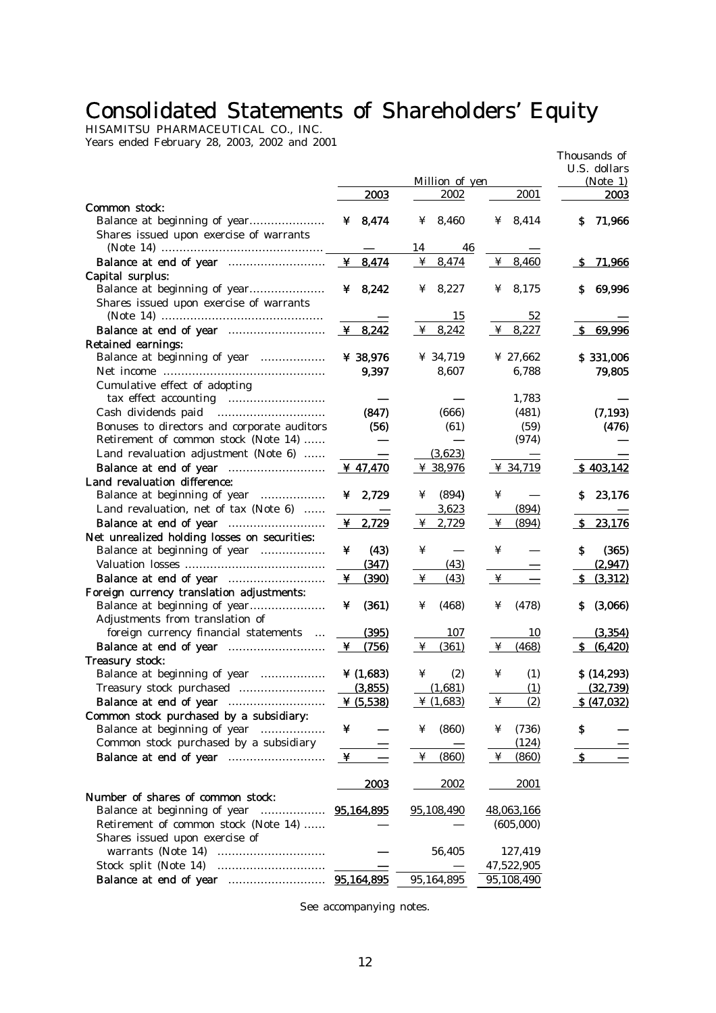# Consolidated Statements of Shareholders' Equity

HISAMITSU PHARMACEUTICAL CO., INC. Years ended February 28, 2003, 2002 and 2001

|                                              |                       |                 |                                                     |                                                  | Thousands of<br>U.S. dollars |
|----------------------------------------------|-----------------------|-----------------|-----------------------------------------------------|--------------------------------------------------|------------------------------|
|                                              |                       |                 | Million of yen                                      |                                                  | (Note 1)                     |
|                                              | <b>2003</b>           |                 | 2002                                                | 2001                                             | <b>2003</b>                  |
| Common stock:                                |                       |                 | ¥ 8,460                                             | ¥ 8,414                                          | 71,966<br>S.                 |
| Shares issued upon exercise of warrants      | ¥ $8,474$             |                 |                                                     |                                                  |                              |
|                                              |                       | 14              | 46                                                  |                                                  |                              |
|                                              |                       |                 | $\frac{4}{1}$ 8,474                                 | $\frac{4}{1}$ 8,460                              | <u>71,966</u><br><u>_s</u>   |
| Capital surplus:                             |                       |                 |                                                     |                                                  |                              |
| Balance at beginning of year                 | ¥ $8,242$             |                 | ¥ 8,227                                             | $\frac{1}{2}$ 8,175                              | 69,996<br>s                  |
| Shares issued upon exercise of warrants      |                       |                 |                                                     |                                                  |                              |
|                                              |                       |                 | 15                                                  | 52                                               |                              |
|                                              | $\underline{Y}$ 8,242 |                 | $\frac{4}{1}$ 8,242                                 | $\frac{4}{3}$ 8,227                              | S.<br>69,996                 |
| <b>Retained earnings:</b>                    |                       |                 |                                                     |                                                  |                              |
| Balance at beginning of year                 | ¥ 38,976              |                 | ¥ 34,719                                            | ¥ 27,662                                         | \$331,006                    |
|                                              | 9,397                 |                 | 8,607                                               | 6,788                                            | 79,805                       |
| Cumulative effect of adopting                |                       |                 |                                                     |                                                  |                              |
|                                              |                       |                 |                                                     | 1,783                                            |                              |
| Cash dividends paid                          | (847)                 |                 | (666)                                               | (481)                                            | (7, 193)                     |
| Bonuses to directors and corporate auditors  |                       | (56)            | (61)                                                | (59)                                             | (476)                        |
| Retirement of common stock (Note 14)         |                       |                 |                                                     | (974)                                            |                              |
| Land revaluation adjustment (Note 6)         |                       |                 | (3,623)                                             |                                                  |                              |
|                                              | <u>¥ 47,470</u>       |                 | $\frac{\textcircled{\textit{x}}\ \text{38,976}}{1}$ | $\frac{4}{34,719}$                               | \$403,142                    |
| Land revaluation difference:                 |                       |                 |                                                     |                                                  |                              |
| Balance at beginning of year                 | $\angle 2,729$        | ¥               | (894)                                               | ¥                                                | 23,176<br>S.                 |
| Land revaluation, net of tax (Note 6)        |                       |                 | 3,623                                               | (894)                                            |                              |
|                                              | $\frac{4}{1}$ 2,729   | ¥               | 2,729                                               | (894)<br>¥                                       | <u>23,176</u><br>-S          |
| Net unrealized holding losses on securities: |                       |                 |                                                     |                                                  |                              |
| Balance at beginning of year                 | ¥                     | (43)<br>¥       |                                                     | ¥                                                | s<br>(365)                   |
|                                              | (347)                 |                 | (43)                                                |                                                  | (2,947)                      |
|                                              | (390)<br>¥            | $\mathbf{\Psi}$ | (43)                                                | $\mathbf{\mathbf{\mathbf{\mathbf{\mathbf{Y}}}}}$ | (3,312)<br>-S                |
| Foreign currency translation adjustments:    |                       |                 |                                                     |                                                  |                              |
| Balance at beginning of year                 | (361)<br>¥            | ¥               | (468)                                               | (478)<br>¥                                       | (3,066)<br>S                 |
| Adjustments from translation of              |                       |                 |                                                     |                                                  |                              |
| foreign currency financial statements        | (395)                 |                 | 107                                                 | 10                                               | (3, 354)                     |
|                                              | (756)<br>$\mathbf{Y}$ | $\mathbf{\Psi}$ | (361)                                               | $\mathbf{\Psi}$<br>(468)                         | <u>S (6,420)</u>             |
| Treasury stock:                              |                       |                 |                                                     |                                                  |                              |
| Balance at beginning of year                 | ¥ $(1,683)$           | ¥               | (2)                                                 | (1)<br>¥                                         | \$(14,293)                   |
|                                              | (3,855)               |                 | (1,681)                                             | (1)                                              | <u>(32,739)</u>              |
|                                              | $Y$ (5,538)           |                 | $*(1,683)$                                          | $\mathbf{\Psi}$<br>(2)                           | \$ (47,032)                  |
| Common stock purchased by a subsidiary:      |                       |                 |                                                     |                                                  |                              |
| Balance at beginning of year                 | ¥                     | ¥               | (860)                                               | (736)<br>¥                                       | \$                           |
| Common stock purchased by a subsidiary       |                       |                 |                                                     | (124)                                            |                              |
|                                              | ¥                     |                 | $\frac{4}{1}$ (860)                                 | $\mathbf{\Psi}$<br>(860)                         | $\mathbf{s}$                 |
|                                              |                       |                 |                                                     |                                                  |                              |
|                                              | <b>2003</b>           |                 | <u> 2002 </u>                                       | <u> 2001 </u>                                    |                              |
| Number of shares of common stock:            |                       |                 |                                                     |                                                  |                              |
| Balance at beginning of year                 | <u>95,164,895</u>     |                 | 95,108,490                                          | 48,063,166                                       |                              |
| Retirement of common stock (Note 14)         |                       |                 |                                                     | (605,000)                                        |                              |
| Shares issued upon exercise of               |                       |                 |                                                     |                                                  |                              |
|                                              |                       |                 | 56,405                                              | 127,419                                          |                              |
|                                              |                       |                 |                                                     | 47,522,905                                       |                              |
|                                              |                       |                 | 95,164,895                                          | 95,108,490                                       |                              |

See accompanying notes.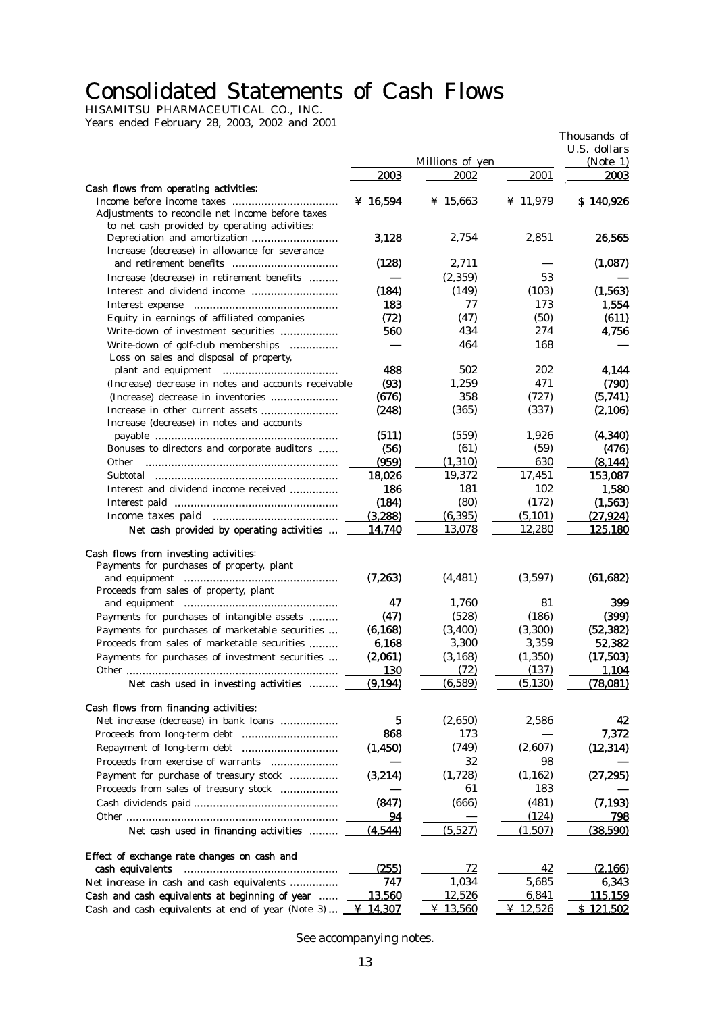# Consolidated Statements of Cash Flows

HISAMITSU PHARMACEUTICAL CO., INC. Years ended February 28, 2003, 2002 and 2001

|                                                                                |                |                 |            | Thousands of     |
|--------------------------------------------------------------------------------|----------------|-----------------|------------|------------------|
|                                                                                |                |                 |            | U.S. dollars     |
|                                                                                |                | Millions of yen |            | (Note 1)         |
|                                                                                | 2003           | 2002            | 2001       | 2003             |
| Cash flows from operating activities:                                          | ¥ 16,594       | ¥ 15,663        | ¥ $11,979$ | \$140,926        |
| Adjustments to reconcile net income before taxes                               |                |                 |            |                  |
| to net cash provided by operating activities:                                  |                |                 |            |                  |
|                                                                                | 3,128          | 2,754           | 2,851      | 26,565           |
| Increase (decrease) in allowance for severance                                 |                |                 |            |                  |
|                                                                                | (128)          | 2,711           |            | (1,087)          |
| Increase (decrease) in retirement benefits                                     |                | (2,359)         | 53         |                  |
|                                                                                | (184)          | (149)           | (103)      | (1, 563)         |
|                                                                                | 183            | 77              | 173        | 1,554            |
| Equity in earnings of affiliated companies                                     | (72)           | (47)            | (50)       | (611)            |
| Write-down of investment securities                                            | 560            | 434             | 274        | 4,756            |
| Write-down of golf-club memberships                                            |                | 464             | 168        |                  |
| Loss on sales and disposal of property,                                        |                |                 |            |                  |
|                                                                                | 488            | 502             | 202        | 4,144            |
| (Increase) decrease in notes and accounts receivable                           | (93)           | 1,259           | 471        | (790)            |
| (Increase) decrease in inventories                                             | (676)          | 358             | (727)      | (5,741)          |
|                                                                                | (248)          | (365)           | (337)      | (2,106)          |
| Increase (decrease) in notes and accounts                                      |                |                 |            |                  |
|                                                                                | (511)          | (559)           | 1,926      | (4, 340)         |
| Bonuses to directors and corporate auditors                                    | (56)           | (61)            | (59)       | (476)            |
| <b>Other</b>                                                                   | (959)          | (1,310)         | 630        | (8, 144)         |
|                                                                                | 18,026         | 19,372          | 17,451     | 153,087          |
| Interest and dividend income received                                          | 186            | 181             | 102        | 1,580            |
|                                                                                | (184)          | (80)            | (172)      | (1, 563)         |
|                                                                                | (3,288)        | (6, 395)        | (5, 101)   | (27, 924)        |
| Net cash provided by operating activities                                      | 14,740         | <u>13,078</u>   | 12,280     | <u>125,180</u>   |
| Cash flows from investing activities:                                          |                |                 |            |                  |
| Payments for purchases of property, plant                                      |                |                 |            |                  |
|                                                                                | (7,263)        | (4, 481)        | (3,597)    | (61, 682)        |
| Proceeds from sales of property, plant                                         |                |                 |            |                  |
|                                                                                | 47             | 1,760           | 81         | 399              |
| Payments for purchases of intangible assets                                    | (47)           | (528)           | (186)      | (399)            |
| Payments for purchases of marketable securities                                | (6, 168)       | (3,400)         | (3, 300)   | (52, 382)        |
| Proceeds from sales of marketable securities                                   | 6,168          | 3,300           | 3,359      | 52,382           |
| Payments for purchases of investment securities                                | (2,061)        | (3, 168)        | (1, 350)   | (17, 503)        |
| Other                                                                          | <u>130</u>     | (72)            | (137)      | <u>1.104</u>     |
| Net cash used in investing activities                                          | <u>(9,194)</u> | (6,589)         | (5, 130)   | (78,081)         |
|                                                                                |                |                 |            |                  |
| Cash flows from financing activities:<br>Net increase (decrease) in bank loans | 5              | (2,650)         | 2,586      | 42               |
| Proceeds from long-term debt                                                   | 868            | 173             |            | 7,372            |
|                                                                                |                | (749)           | (2,607)    |                  |
|                                                                                | (1, 450)       |                 |            | (12, 314)        |
| Proceeds from exercise of warrants                                             |                | 32              | 98         |                  |
| Payment for purchase of treasury stock                                         | (3,214)        | (1,728)         | (1, 162)   | (27, 295)        |
| Proceeds from sales of treasury stock                                          |                | 61              | 183        |                  |
|                                                                                | (847)          | (666)           | (481)      | (7, 193)         |
|                                                                                | 94             |                 | (124)      | 798              |
| Net cash used in financing activities                                          | (4,544)        | (5,527)         | (1,507)    | (38,590)         |
| Effect of exchange rate changes on cash and                                    |                |                 |            |                  |
| cash equivalents                                                               | <u>(255)</u>   | 72              | 42         | (2,166)          |
| Net increase in cash and cash equivalents                                      | 747            | 1,034           | 5,685      | 6,343            |
| Cash and cash equivalents at beginning of year                                 | 13,560         | 12,526          | 6,841      | <u>115,159</u>   |
| Cash and cash equivalents at end of year (Note 3)                              | ¥ 14,307       | ¥ 13,560        | ¥ 12,526   | <u>\$121,502</u> |

See accompanying notes.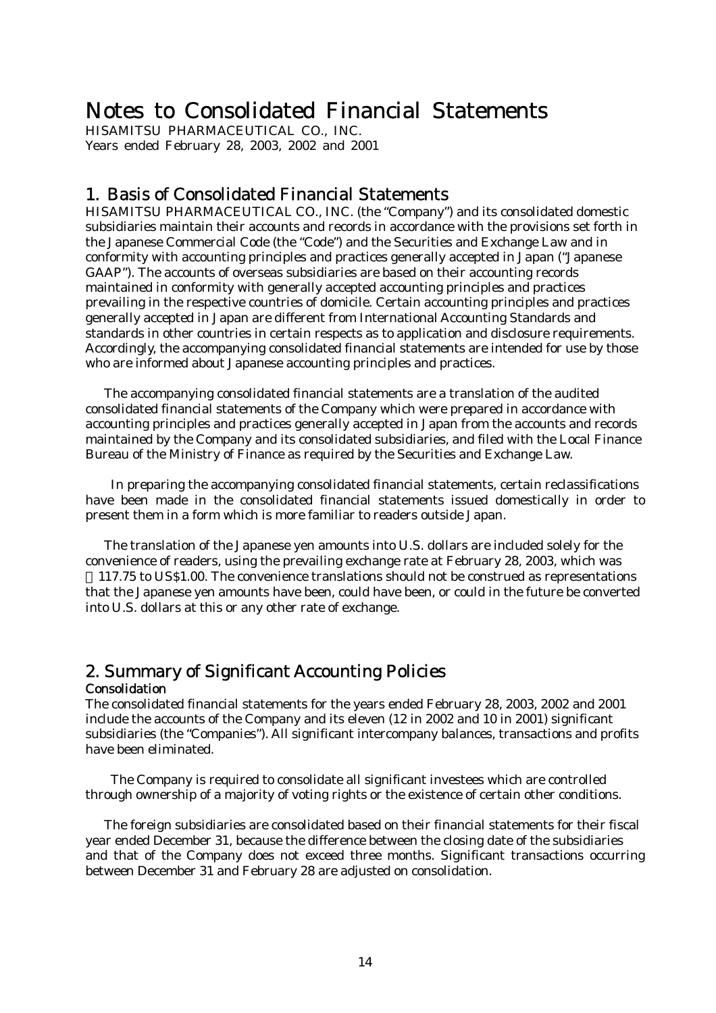# Notes to Consolidated Financial Statements

HISAMITSU PHARMACEUTICAL CO., INC. Years ended February 28, 2003, 2002 and 2001

# 1. Basis of Consolidated Financial Statements

HISAMITSU PHARMACEUTICAL CO., INC. (the "Company") and its consolidated domestic subsidiaries maintain their accounts and records in accordance with the provisions set forth in the Japanese Commercial Code (the "Code") and the Securities and Exchange Law and in conformity with accounting principles and practices generally accepted in Japan ("Japanese GAAP"). The accounts of overseas subsidiaries are based on their accounting records maintained in conformity with generally accepted accounting principles and practices prevailing in the respective countries of domicile. Certain accounting principles and practices generally accepted in Japan are different from International Accounting Standards and standards in other countries in certain respects as to application and disclosure requirements. Accordingly, the accompanying consolidated financial statements are intended for use by those who are informed about Japanese accounting principles and practices.

 The accompanying consolidated financial statements are a translation of the audited consolidated financial statements of the Company which were prepared in accordance with accounting principles and practices generally accepted in Japan from the accounts and records maintained by the Company and its consolidated subsidiaries, and filed with the Local Finance Bureau of the Ministry of Finance as required by the Securities and Exchange Law.

In preparing the accompanying consolidated financial statements, certain reclassifications have been made in the consolidated financial statements issued domestically in order to present them in a form which is more familiar to readers outside Japan.

 The translation of the Japanese yen amounts into U.S. dollars are included solely for the convenience of readers, using the prevailing exchange rate at February 28, 2003, which was

117.75 to US\$1.00. The convenience translations should not be construed as representations that the Japanese yen amounts have been, could have been, or could in the future be converted into U.S. dollars at this or any other rate of exchange.

### 2. Summary of Significant Accounting Policies Consolidation

The consolidated financial statements for the years ended February 28, 2003, 2002 and 2001 include the accounts of the Company and its eleven (12 in 2002 and 10 in 2001) significant subsidiaries (the "Companies"). All significant intercompany balances, transactions and profits have been eliminated.

The Company is required to consolidate all significant investees which are controlled through ownership of a majority of voting rights or the existence of certain other conditions.

 The foreign subsidiaries are consolidated based on their financial statements for their fiscal year ended December 31, because the difference between the closing date of the subsidiaries and that of the Company does not exceed three months. Significant transactions occurring between December 31 and February 28 are adjusted on consolidation.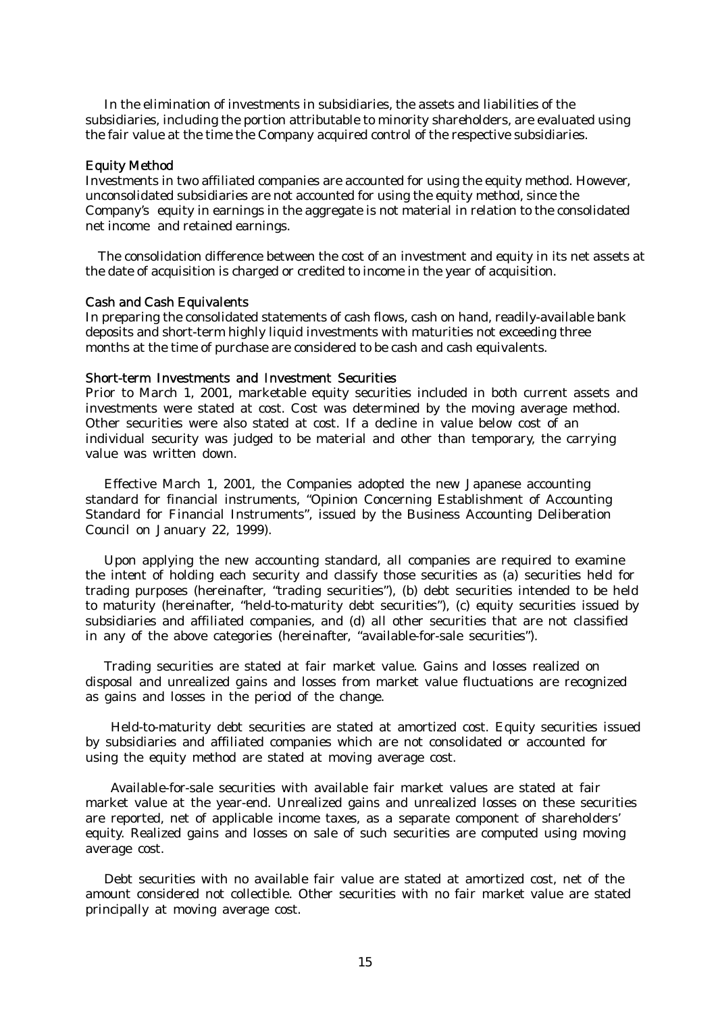In the elimination of investments in subsidiaries, the assets and liabilities of the subsidiaries, including the portion attributable to minority shareholders, are evaluated using the fair value at the time the Company acquired control of the respective subsidiaries.

#### Equity Method

Investments in two affiliated companies are accounted for using the equity method. However, unconsolidated subsidiaries are not accounted for using the equity method, since the Company's equity in earnings in the aggregate is not material in relation to the consolidated net income and retained earnings.

The consolidation difference between the cost of an investment and equity in its net assets at the date of acquisition is charged or credited to income in the year of acquisition.

#### Cash and Cash Equivalents

In preparing the consolidated statements of cash flows, cash on hand, readily-available bank deposits and short-term highly liquid investments with maturities not exceeding three months at the time of purchase are considered to be cash and cash equivalents.

#### Short-term Investments and Investment Securities

Prior to March 1, 2001, marketable equity securities included in both current assets and investments were stated at cost. Cost was determined by the moving average method. Other securities were also stated at cost. If a decline in value below cost of an individual security was judged to be material and other than temporary, the carrying value was written down.

 Effective March 1, 2001, the Companies adopted the new Japanese accounting standard for financial instruments, "Opinion Concerning Establishment of Accounting Standard for Financial Instruments", issued by the Business Accounting Deliberation Council on January 22, 1999).

 Upon applying the new accounting standard, all companies are required to examine the intent of holding each security and classify those securities as (a) securities held for trading purposes (hereinafter, "trading securities"), (b) debt securities intended to be held to maturity (hereinafter, "held-to-maturity debt securities"), (c) equity securities issued by subsidiaries and affiliated companies, and (d) all other securities that are not classified in any of the above categories (hereinafter, "available-for-sale securities").

 Trading securities are stated at fair market value. Gains and losses realized on disposal and unrealized gains and losses from market value fluctuations are recognized as gains and losses in the period of the change.

Held-to-maturity debt securities are stated at amortized cost. Equity securities issued by subsidiaries and affiliated companies which are not consolidated or accounted for using the equity method are stated at moving average cost.

Available-for-sale securities with available fair market values are stated at fair market value at the year-end. Unrealized gains and unrealized losses on these securities are reported, net of applicable income taxes, as a separate component of shareholders' equity. Realized gains and losses on sale of such securities are computed using moving average cost.

 Debt securities with no available fair value are stated at amortized cost, net of the amount considered not collectible. Other securities with no fair market value are stated principally at moving average cost.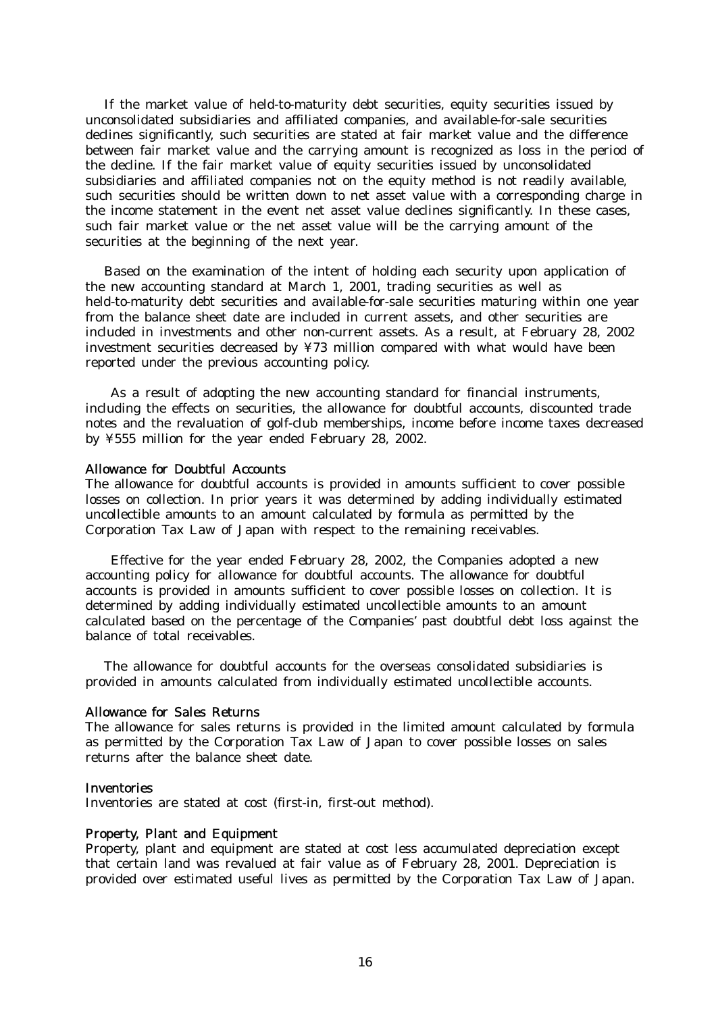If the market value of held-to-maturity debt securities, equity securities issued by unconsolidated subsidiaries and affiliated companies, and available-for-sale securities declines significantly, such securities are stated at fair market value and the difference between fair market value and the carrying amount is recognized as loss in the period of the decline. If the fair market value of equity securities issued by unconsolidated subsidiaries and affiliated companies not on the equity method is not readily available, such securities should be written down to net asset value with a corresponding charge in the income statement in the event net asset value declines significantly. In these cases, such fair market value or the net asset value will be the carrying amount of the securities at the beginning of the next year.

 Based on the examination of the intent of holding each security upon application of the new accounting standard at March 1, 2001, trading securities as well as held-to-maturity debt securities and available-for-sale securities maturing within one year from the balance sheet date are included in current assets, and other securities are included in investments and other non-current assets. As a result, at February 28, 2002 investment securities decreased by ¥73 million compared with what would have been reported under the previous accounting policy.

As a result of adopting the new accounting standard for financial instruments, including the effects on securities, the allowance for doubtful accounts, discounted trade notes and the revaluation of golf-club memberships, income before income taxes decreased by ¥555 million for the year ended February 28, 2002.

#### Allowance for Doubtful Accounts

The allowance for doubtful accounts is provided in amounts sufficient to cover possible losses on collection. In prior years it was determined by adding individually estimated uncollectible amounts to an amount calculated by formula as permitted by the Corporation Tax Law of Japan with respect to the remaining receivables.

Effective for the year ended February 28, 2002, the Companies adopted a new accounting policy for allowance for doubtful accounts. The allowance for doubtful accounts is provided in amounts sufficient to cover possible losses on collection. It is determined by adding individually estimated uncollectible amounts to an amount calculated based on the percentage of the Companies' past doubtful debt loss against the balance of total receivables.

 The allowance for doubtful accounts for the overseas consolidated subsidiaries is provided in amounts calculated from individually estimated uncollectible accounts.

#### Allowance for Sales Returns

The allowance for sales returns is provided in the limited amount calculated by formula as permitted by the Corporation Tax Law of Japan to cover possible losses on sales returns after the balance sheet date.

#### **Inventories**

Inventories are stated at cost (first-in, first-out method).

#### Property, Plant and Equipment

Property, plant and equipment are stated at cost less accumulated depreciation except that certain land was revalued at fair value as of February 28, 2001. Depreciation is provided over estimated useful lives as permitted by the Corporation Tax Law of Japan.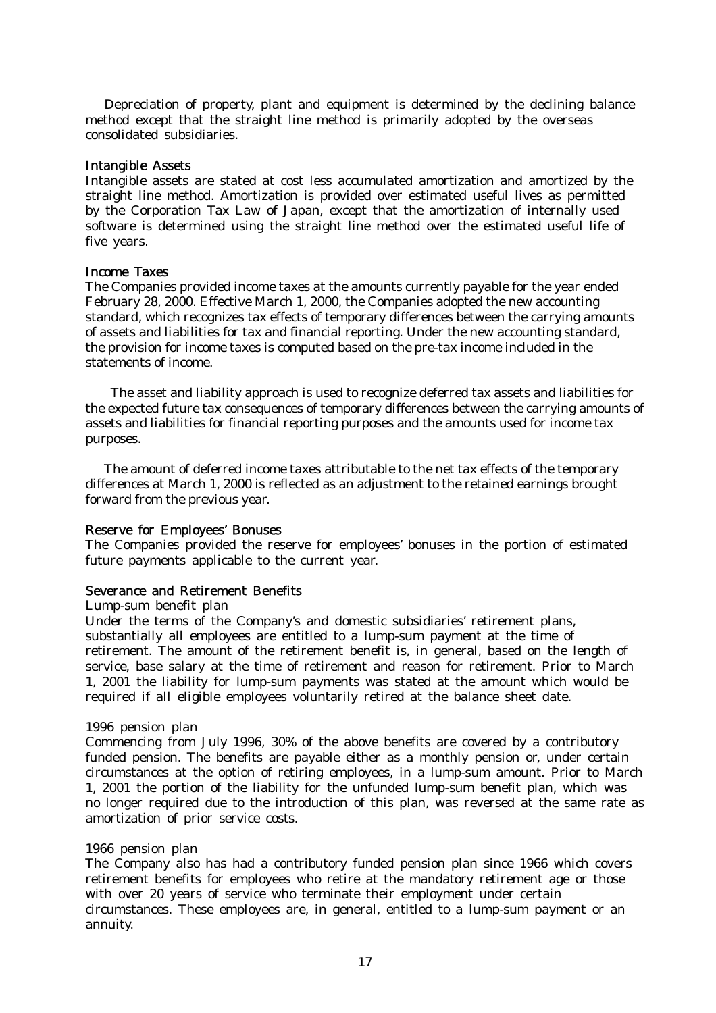Depreciation of property, plant and equipment is determined by the declining balance method except that the straight line method is primarily adopted by the overseas consolidated subsidiaries.

#### Intangible Assets

Intangible assets are stated at cost less accumulated amortization and amortized by the straight line method. Amortization is provided over estimated useful lives as permitted by the Corporation Tax Law of Japan, except that the amortization of internally used software is determined using the straight line method over the estimated useful life of five years.

#### Income Taxes

The Companies provided income taxes at the amounts currently payable for the year ended February 28, 2000. Effective March 1, 2000, the Companies adopted the new accounting standard, which recognizes tax effects of temporary differences between the carrying amounts of assets and liabilities for tax and financial reporting. Under the new accounting standard, the provision for income taxes is computed based on the pre-tax income included in the statements of income.

The asset and liability approach is used to recognize deferred tax assets and liabilities for the expected future tax consequences of temporary differences between the carrying amounts of assets and liabilities for financial reporting purposes and the amounts used for income tax purposes.

 The amount of deferred income taxes attributable to the net tax effects of the temporary differences at March 1, 2000 is reflected as an adjustment to the retained earnings brought forward from the previous year.

#### Reserve for Employees' Bonuses

The Companies provided the reserve for employees' bonuses in the portion of estimated future payments applicable to the current year.

#### Severance and Retirement Benefits

Lump-sum benefit plan

Under the terms of the Company's and domestic subsidiaries' retirement plans, substantially all employees are entitled to a lump-sum payment at the time of retirement. The amount of the retirement benefit is, in general, based on the length of service, base salary at the time of retirement and reason for retirement. Prior to March 1, 2001 the liability for lump-sum payments was stated at the amount which would be required if all eligible employees voluntarily retired at the balance sheet date.

#### 1996 pension plan

Commencing from July 1996, 30% of the above benefits are covered by a contributory funded pension. The benefits are payable either as a monthly pension or, under certain circumstances at the option of retiring employees, in a lump-sum amount. Prior to March 1, 2001 the portion of the liability for the unfunded lump-sum benefit plan, which was no longer required due to the introduction of this plan, was reversed at the same rate as amortization of prior service costs.

### 1966 pension plan

The Company also has had a contributory funded pension plan since 1966 which covers retirement benefits for employees who retire at the mandatory retirement age or those with over 20 years of service who terminate their employment under certain circumstances. These employees are, in general, entitled to a lump-sum payment or an annuity.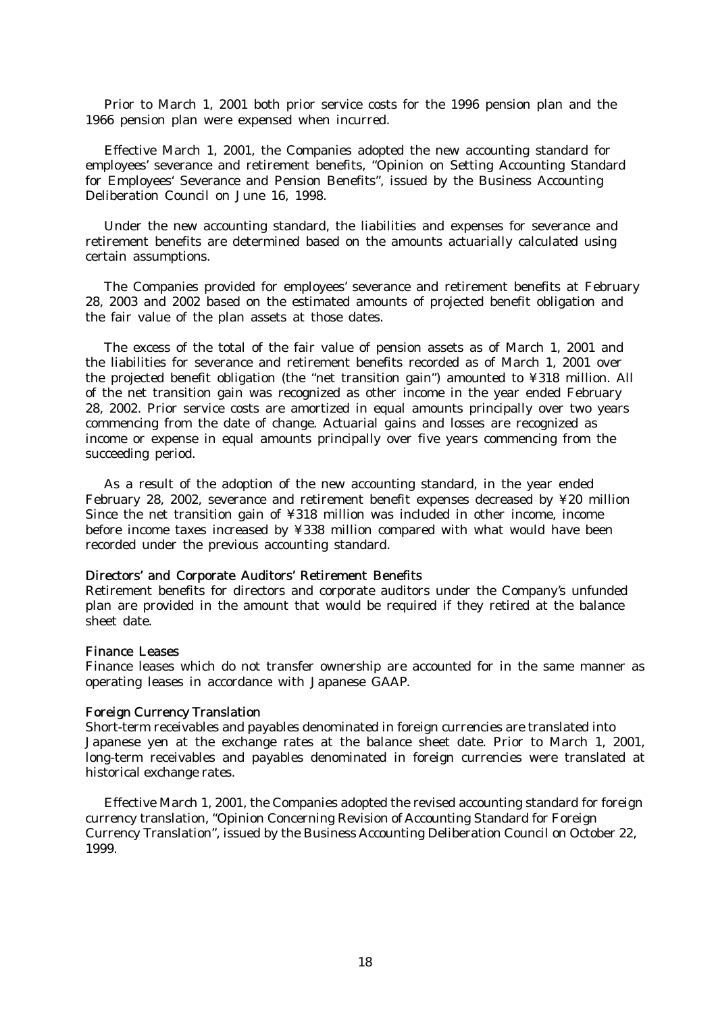Prior to March 1, 2001 both prior service costs for the 1996 pension plan and the 1966 pension plan were expensed when incurred.

Effective March 1, 2001, the Companies adopted the new accounting standard for employees' severance and retirement benefits, "Opinion on Setting Accounting Standard for Employees' Severance and Pension Benefits", issued by the Business Accounting Deliberation Council on June 16, 1998.

 Under the new accounting standard, the liabilities and expenses for severance and retirement benefits are determined based on the amounts actuarially calculated using certain assumptions.

 The Companies provided for employees' severance and retirement benefits at February 28, 2003 and 2002 based on the estimated amounts of projected benefit obligation and the fair value of the plan assets at those dates.

 The excess of the total of the fair value of pension assets as of March 1, 2001 and the liabilities for severance and retirement benefits recorded as of March 1, 2001 over the projected benefit obligation (the "net transition gain") amounted to ¥318 million. All of the net transition gain was recognized as other income in the year ended February 28, 2002. Prior service costs are amortized in equal amounts principally over two years commencing from the date of change. Actuarial gains and losses are recognized as income or expense in equal amounts principally over five years commencing from the succeeding period.

 As a result of the adoption of the new accounting standard, in the year ended February 28, 2002, severance and retirement benefit expenses decreased by ¥20 million Since the net transition gain of ¥318 million was included in other income, income before income taxes increased by ¥338 million compared with what would have been recorded under the previous accounting standard.

#### Directors' and Corporate Auditors' Retirement Benefits

Retirement benefits for directors and corporate auditors under the Company's unfunded plan are provided in the amount that would be required if they retired at the balance sheet date.

#### Finance Leases

Finance leases which do not transfer ownership are accounted for in the same manner as operating leases in accordance with Japanese GAAP.

#### Foreign Currency Translation

Short-term receivables and payables denominated in foreign currencies are translated into Japanese yen at the exchange rates at the balance sheet date. Prior to March 1, 2001, long-term receivables and payables denominated in foreign currencies were translated at historical exchange rates.

 Effective March 1, 2001, the Companies adopted the revised accounting standard for foreign currency translation, "Opinion Concerning Revision of Accounting Standard for Foreign Currency Translation", issued by the Business Accounting Deliberation Council on October 22, 1999.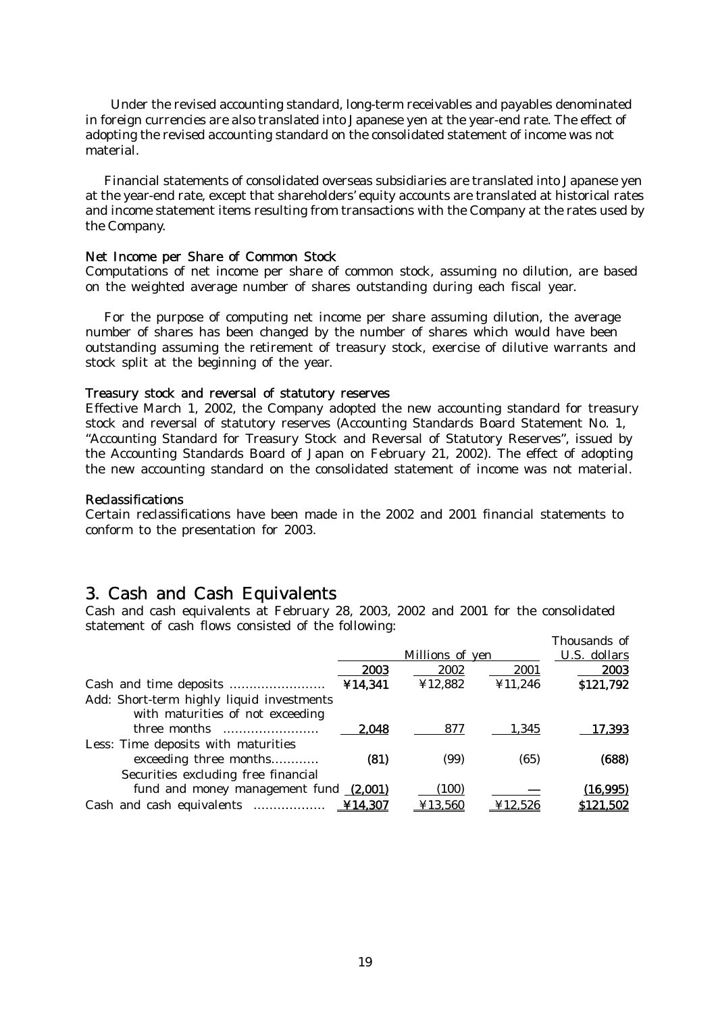Under the revised accounting standard, long-term receivables and payables denominated in foreign currencies are also translated into Japanese yen at the year-end rate. The effect of adopting the revised accounting standard on the consolidated statement of income was not material.

 Financial statements of consolidated overseas subsidiaries are translated into Japanese yen at the year-end rate, except that shareholders' equity accounts are translated at historical rates and income statement items resulting from transactions with the Company at the rates used by the Company.

#### Net Income per Share of Common Stock

Computations of net income per share of common stock, assuming no dilution, are based on the weighted average number of shares outstanding during each fiscal year.

 For the purpose of computing net income per share assuming dilution, the average number of shares has been changed by the number of shares which would have been outstanding assuming the retirement of treasury stock, exercise of dilutive warrants and stock split at the beginning of the year.

#### Treasury stock and reversal of statutory reserves

Effective March 1, 2002, the Company adopted the new accounting standard for treasury stock and reversal of statutory reserves (Accounting Standards Board Statement No. 1, "Accounting Standard for Treasury Stock and Reversal of Statutory Reserves", issued by the Accounting Standards Board of Japan on February 21, 2002). The effect of adopting the new accounting standard on the consolidated statement of income was not material.

#### Reclassifications

Certain reclassifications have been made in the 2002 and 2001 financial statements to conform to the presentation for 2003.

### 3. Cash and Cash Equivalents

Cash and cash equivalents at February 28, 2003, 2002 and 2001 for the consolidated statement of cash flows consisted of the following:

|                                           |         |                 |         | Thousands of |
|-------------------------------------------|---------|-----------------|---------|--------------|
|                                           |         | Millions of yen |         | U.S. dollars |
|                                           | 2003    | 2002            | 2001    | 2003         |
|                                           | ¥14,341 | ¥12,882         | ¥11,246 | \$121,792    |
| Add: Short-term highly liquid investments |         |                 |         |              |
| with maturities of not exceeding          |         |                 |         |              |
|                                           | 2.048   | 877             | 1,345   | 17,393       |
| Less: Time deposits with maturities       |         |                 |         |              |
| exceeding three months                    | (81)    | (99)            | (65)    | (688)        |
| Securities excluding free financial       |         |                 |         |              |
| fund and money management fund (2,001)    |         | (100)           |         | (16,995)     |
|                                           |         | ¥13,560         | ¥12.526 | \$121,502    |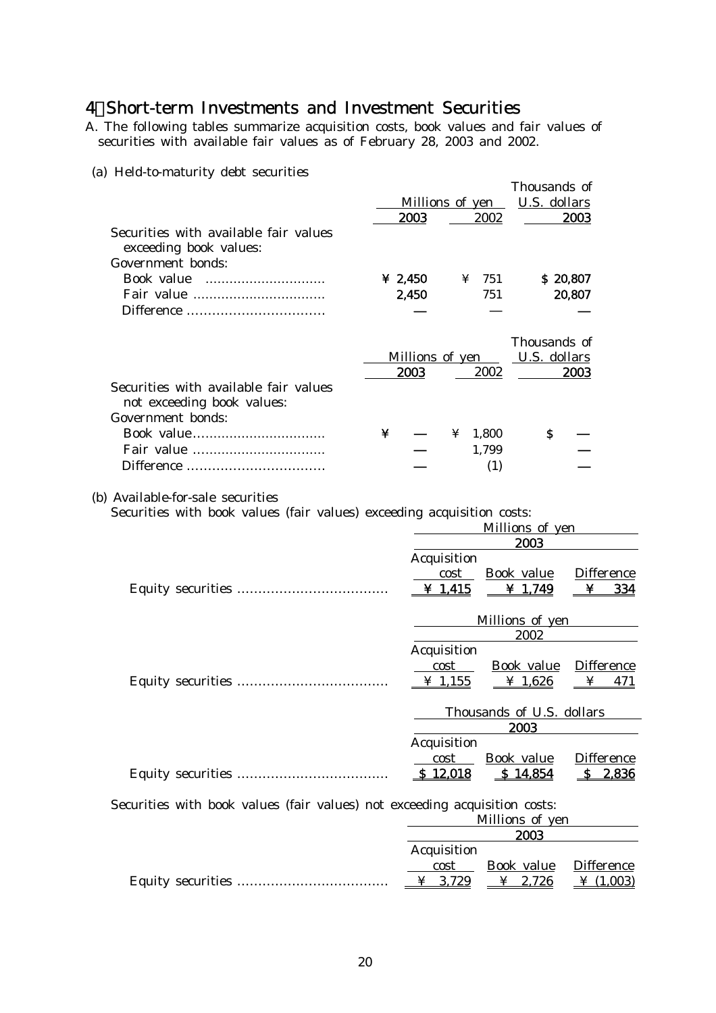## 4.Short-term Investments and Investment Securities

A. The following tables summarize acquisition costs, book values and fair values of securities with available fair values as of February 28, 2003 and 2002.

### (a) Held-to-maturity debt securities

|                                                                                                             |   |                            |        |              | Thousands of                 |                        |         |
|-------------------------------------------------------------------------------------------------------------|---|----------------------------|--------|--------------|------------------------------|------------------------|---------|
|                                                                                                             |   | Millions of yen            |        |              | U.S. dollars                 |                        |         |
|                                                                                                             |   | 2003                       |        | 2002         |                              | 2003                   |         |
| Securities with available fair values<br>exceeding book values:                                             |   |                            |        |              |                              |                        |         |
| <b>Government bonds:</b>                                                                                    |   |                            |        |              |                              |                        |         |
|                                                                                                             |   | ¥ 2,450                    |        | $\angle 751$ | \$20,807                     |                        |         |
|                                                                                                             |   | 2,450                      |        | 751          |                              | 20,807                 |         |
|                                                                                                             |   |                            |        |              | Thousands of                 |                        |         |
|                                                                                                             |   | Millions of yen            |        |              | U.S. dollars                 |                        |         |
|                                                                                                             |   | 2003                       |        | 2002         |                              | 2003                   |         |
| Securities with available fair values<br>not exceeding book values:<br><b>Government</b> bonds:             |   |                            |        |              |                              |                        |         |
|                                                                                                             |   |                            |        |              | $\mathbf{s}$                 |                        |         |
|                                                                                                             | ¥ |                            | ¥      | 1,800        |                              |                        |         |
|                                                                                                             |   |                            |        | 1,799        |                              |                        |         |
|                                                                                                             |   |                            |        | (1)          |                              |                        |         |
| (b) Available-for-sale securities<br>Securities with book values (fair values) exceeding acquisition costs: |   |                            |        |              |                              |                        |         |
|                                                                                                             |   |                            |        |              | Millions of yen              |                        |         |
|                                                                                                             |   |                            |        |              | 2003                         |                        |         |
|                                                                                                             |   | <b>Acquisition</b>         | cost   |              | <b>Book</b> value            | <b>Difference</b>      |         |
|                                                                                                             |   | $\frac{\text{V}}{2}$ 1,415 |        |              | ¥ 1,749                      | ¥                      | 334     |
|                                                                                                             |   |                            |        |              |                              |                        |         |
|                                                                                                             |   |                            |        |              | Millions of yen              |                        |         |
|                                                                                                             |   |                            |        |              | 2002                         |                        |         |
|                                                                                                             |   | <b>Acquisition</b>         |        |              |                              |                        |         |
|                                                                                                             |   | cost<br>$\frac{4}{1,155}$  |        |              | <b>Book</b> value<br>¥ 1,626 | <b>Difference</b><br>¥ | 471     |
|                                                                                                             |   |                            |        |              |                              |                        |         |
|                                                                                                             |   |                            |        |              | Thousands of U.S. dollars    |                        |         |
|                                                                                                             |   |                            |        |              | 2003                         |                        |         |
|                                                                                                             |   | <b>Acquisition</b>         |        |              |                              |                        |         |
|                                                                                                             |   |                            | $\cot$ |              | <b>Book</b> value            | <b>Difference</b>      |         |
|                                                                                                             |   | \$12,018                   |        |              | \$14,854                     |                        | \$2,836 |
|                                                                                                             |   |                            |        |              |                              |                        |         |

Securities with book values (fair values) not exceeding acquisition costs:

| Millions of yen    |            |                   |  |
|--------------------|------------|-------------------|--|
| 2003               |            |                   |  |
| <b>Acquisition</b> |            |                   |  |
| cost               | Book value | <b>Difference</b> |  |
| $\angle 3,729$     | ¥ 2,726    | ¥ $(1,003)$       |  |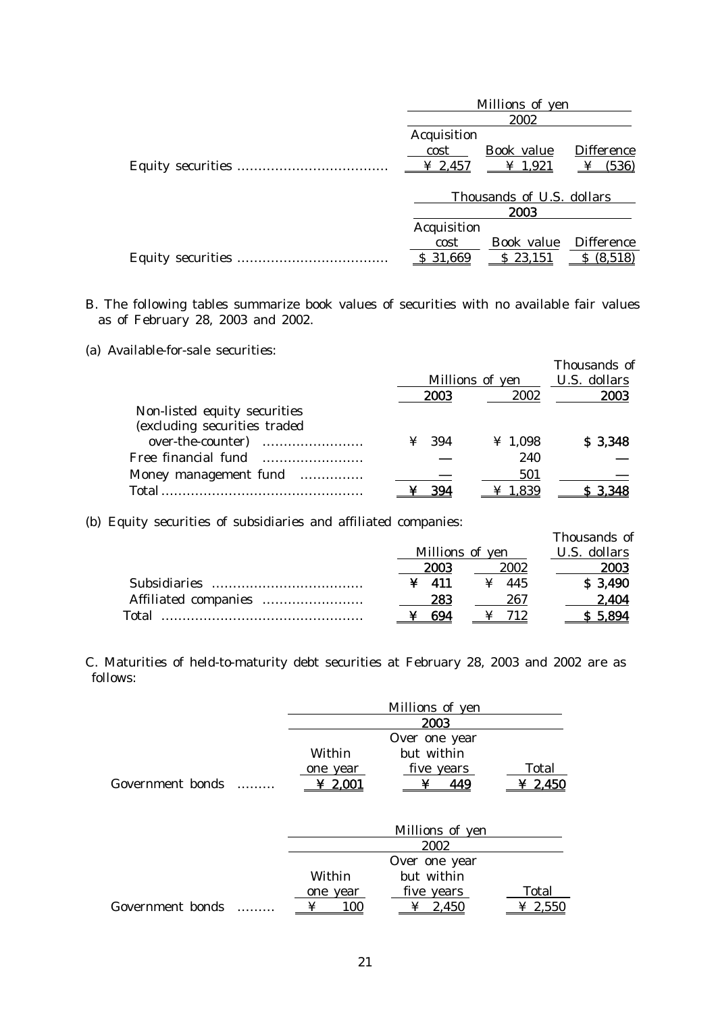| Millions of yen    |                            |                          |  |
|--------------------|----------------------------|--------------------------|--|
|                    | 2002                       |                          |  |
| <b>Acquisition</b> |                            |                          |  |
| cost               | Book value                 | <b>Difference</b>        |  |
| ¥ 2,457            | $\frac{\text{V}}{2}$ 1,921 | (536)<br>$\mathbf{\Psi}$ |  |
|                    |                            |                          |  |
|                    | Thousands of U.S. dollars  |                          |  |
|                    | 2003                       |                          |  |
| <b>Acquisition</b> |                            |                          |  |
| cost               | Book value                 | <b>Difference</b>        |  |
| 31,669             | \$23,151                   | (8,518)                  |  |
|                    |                            |                          |  |

B. The following tables summarize book values of securities with no available fair values as of February 28, 2003 and 2002.

(a) Available-for-sale securities:

|                                                                                   | <b>2003</b>  | Millions of yen<br>2002 | Thousands of<br><b>U.S. dollars</b><br>2003 |
|-----------------------------------------------------------------------------------|--------------|-------------------------|---------------------------------------------|
| Non-listed equity securities<br>(excluding securities traded<br>over-the-counter) | $\angle 394$ | ¥ 1,098                 | \$3,348                                     |
| Money management fund                                                             |              | 240<br>501              |                                             |
| Total                                                                             | 394          | 1.839                   |                                             |

(b) Equity securities of subsidiaries and affiliated companies:

| $\sim$ $\sim$ $\sim$ $\sim$ |                 |      | Thousands of |
|-----------------------------|-----------------|------|--------------|
|                             | Millions of yen |      | U.S. dollars |
|                             | 2003            | 2002 | 2003         |
| <b>Subsidiaries</b>         | - 411           | -445 | \$3,490      |
|                             | 283             | 267  | 2,404        |
| Total                       | 694             | 712  | $S$ 5.894    |

C. Maturities of held-to-maturity debt securities at February 28, 2003 and 2002 are as follows:

|                  |          | Millions of yen |                           |
|------------------|----------|-----------------|---------------------------|
|                  |          | 2003            |                           |
|                  |          | Over one year   |                           |
|                  | Within   | but within      |                           |
|                  | one year | five years      | <b>Total</b>              |
| Government bonds | 2.001    | 449             | $\boldsymbol{\Psi}$ 2.450 |
|                  |          |                 |                           |

|                  | Millions of yen |               |             |  |  |
|------------------|-----------------|---------------|-------------|--|--|
|                  |                 | 2002          |             |  |  |
|                  |                 | Over one year |             |  |  |
|                  | Within          | but within    |             |  |  |
|                  | one year        | five years    | Total       |  |  |
| Government bonds | 100<br>¥        | 2.450         | $\ge 2.550$ |  |  |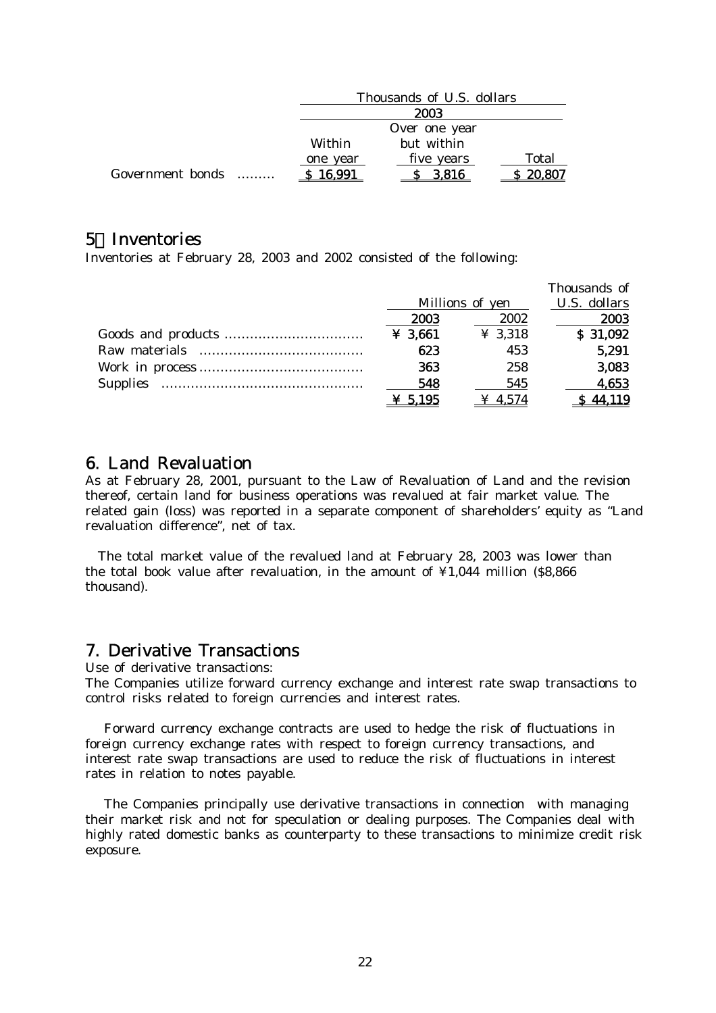|                  |          | Thousands of U.S. dollars |              |  |  |
|------------------|----------|---------------------------|--------------|--|--|
|                  |          | 2003                      |              |  |  |
|                  |          | Over one year             |              |  |  |
|                  | Within   | but within                |              |  |  |
|                  | one year | five years                | <b>Total</b> |  |  |
| Government bonds | \$16,991 | 3,816                     | 20,807       |  |  |

## 5.Inventories

Inventories at February 28, 2003 and 2002 consisted of the following:

|                 |                 |         | Thousands of |
|-----------------|-----------------|---------|--------------|
|                 | Millions of yen |         | U.S. dollars |
|                 | 2003            | 2002    | 2003         |
|                 | $¥$ 3,661       | ¥ 3,318 | \$31,092     |
| Raw materials   | 623             | 453     | 5,291        |
|                 | 363             | 258     | 3,083        |
| <b>Supplies</b> | 548             | 545     | 4,653        |
|                 | $Y 5.195$       | 4.574   | 44.119       |

## 6. Land Revaluation

As at February 28, 2001, pursuant to the Law of Revaluation of Land and the revision thereof, certain land for business operations was revalued at fair market value. The related gain (loss) was reported in a separate component of shareholders' equity as "Land revaluation difference", net of tax.

The total market value of the revalued land at February 28, 2003 was lower than the total book value after revaluation, in the amount of  $\angle 1044$  million (\$8,866) thousand).

### 7. Derivative Transactions

Use of derivative transactions:

The Companies utilize forward currency exchange and interest rate swap transactions to control risks related to foreign currencies and interest rates.

 Forward currency exchange contracts are used to hedge the risk of fluctuations in foreign currency exchange rates with respect to foreign currency transactions, and interest rate swap transactions are used to reduce the risk of fluctuations in interest rates in relation to notes payable.

 The Companies principally use derivative transactions in connection with managing their market risk and not for speculation or dealing purposes. The Companies deal with highly rated domestic banks as counterparty to these transactions to minimize credit risk exposure.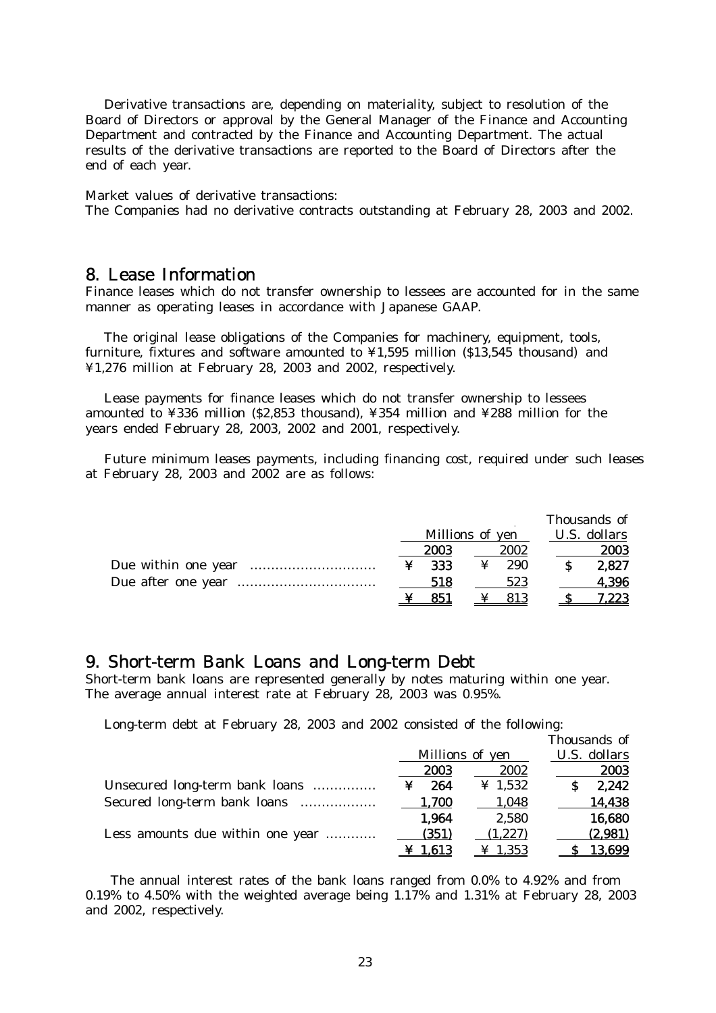Derivative transactions are, depending on materiality, subject to resolution of the Board of Directors or approval by the General Manager of the Finance and Accounting Department and contracted by the Finance and Accounting Department. The actual results of the derivative transactions are reported to the Board of Directors after the end of each year.

Market values of derivative transactions:

The Companies had no derivative contracts outstanding at February 28, 2003 and 2002.

### 8. Lease Information

Finance leases which do not transfer ownership to lessees are accounted for in the same manner as operating leases in accordance with Japanese GAAP.

 The original lease obligations of the Companies for machinery, equipment, tools, furniture, fixtures and software amounted to ¥1,595 million (\$13,545 thousand) and ¥1,276 million at February 28, 2003 and 2002, respectively.

 Lease payments for finance leases which do not transfer ownership to lessees amounted to ¥336 million (\$2,853 thousand), ¥354 million and ¥288 million for the years ended February 28, 2003, 2002 and 2001, respectively.

Future minimum leases payments, including financing cost, required under such leases at February 28, 2003 and 2002 are as follows:

|   |                 |   |      |              | Thousands of |
|---|-----------------|---|------|--------------|--------------|
|   | Millions of yen |   |      | U.S. dollars |              |
|   | 2003            |   | 2002 |              | 2003         |
| ¥ | -333            | ¥ | 290  |              | 2,827        |
|   | 518             |   | 523  |              | 4,396        |
|   | 851             |   | 813  |              | 7.223        |

### 9. Short-term Bank Loans and Long-term Debt

Short-term bank loans are represented generally by notes maturing within one year. The average annual interest rate at February 28, 2003 was 0.95%.

Long-term debt at February 28, 2003 and 2002 consisted of the following:

|                                  |          |                     | Thousands of |
|----------------------------------|----------|---------------------|--------------|
|                                  |          | Millions of yen     |              |
|                                  | 2003     | 2002                | 2003         |
| Unsecured long-term bank loans   | 264<br>¥ | $\frac{1}{2}$ 1.532 | 2.242        |
| Secured long-term bank loans     | 1,700    | 1,048               | 14,438       |
|                                  | 1,964    | 2,580               | 16,680       |
| Less amounts due within one year | (351)    | (1, 227)            | (2,981)      |
|                                  | 1.613    | $\geq 1.353$        | 13,699       |

 The annual interest rates of the bank loans ranged from 0.0% to 4.92% and from 0.19% to 4.50% with the weighted average being 1.17% and 1.31% at February 28, 2003 and 2002, respectively.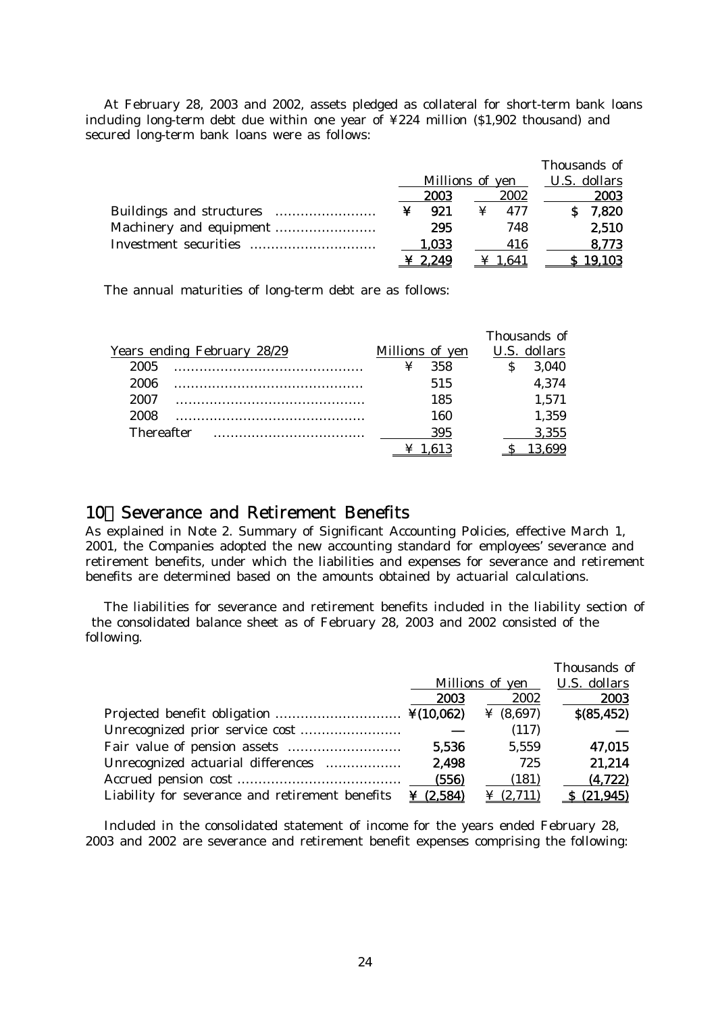At February 28, 2003 and 2002, assets pledged as collateral for short-term bank loans including long-term debt due within one year of ¥224 million (\$1,902 thousand) and secured long-term bank loans were as follows:

|       |                 | Thousands of |
|-------|-----------------|--------------|
|       | Millions of yen | U.S. dollars |
| 2003  | 2002            | 2003         |
| 921   | 477             | 7,820        |
| 295   | 748             | 2,510        |
| 1,033 | 416             | 8.773        |
| 2.249 | 1.641           | 19.103       |

The annual maturities of long-term debt are as follows:

|                             |                 | Thousands of |
|-----------------------------|-----------------|--------------|
| Years ending February 28/29 | Millions of yen | U.S. dollars |
| 2005                        | 358             | 3,040        |
| 2006                        | 515             | 4,374        |
| 2007                        | 185             | 1,571        |
| 2008                        | 160             | 1,359        |
| <b>Thereafter</b>           | 395             | 3,355        |
|                             |                 |              |

## 10.Severance and Retirement Benefits

As explained in Note 2. Summary of Significant Accounting Policies, effective March 1, 2001, the Companies adopted the new accounting standard for employees' severance and retirement benefits, under which the liabilities and expenses for severance and retirement benefits are determined based on the amounts obtained by actuarial calculations.

 The liabilities for severance and retirement benefits included in the liability section of the consolidated balance sheet as of February 28, 2003 and 2002 consisted of the following.

|                                                 |           |                  | Thousands of        |
|-------------------------------------------------|-----------|------------------|---------------------|
|                                                 |           | Millions of yen  | <b>U.S. dollars</b> |
|                                                 | 2003      | 2002             | 2003                |
|                                                 |           | ¥ $(8,697)$      | $$$ (85,452)        |
|                                                 |           | (117)            |                     |
|                                                 | 5,536     | 5,559            | 47,015              |
| Unrecognized actuarial differences              | 2,498     | 725              | 21,214              |
|                                                 | (556)     | (181)            | (4, 722)            |
| Liability for severance and retirement benefits | ¥ (2.584) | $\angle (2,711)$ | \$ (21.945)         |

 Included in the consolidated statement of income for the years ended February 28, 2003 and 2002 are severance and retirement benefit expenses comprising the following: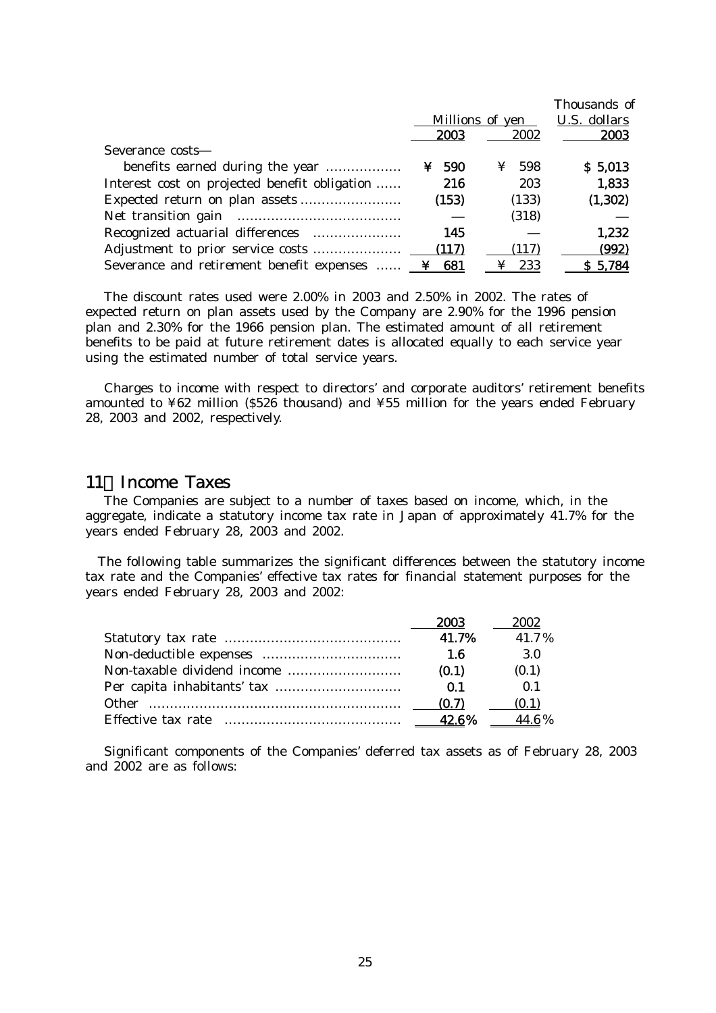|                                                        |           |                 | Thousands of |
|--------------------------------------------------------|-----------|-----------------|--------------|
|                                                        |           | Millions of yen | U.S. dollars |
|                                                        | 2003      | 2002            | 2003         |
| Severance costs                                        |           |                 |              |
| benefits earned during the year                        | 590<br>¥. | 598<br>¥        | \$5,013      |
| Interest cost on projected benefit obligation          | 216       | 203             | 1,833        |
|                                                        | (153)     | (133)           | (1, 302)     |
|                                                        |           | (318)           |              |
| Recognized actuarial differences                       | 145       |                 | 1,232        |
| Adjustment to prior service costs                      | (117)     | (117)           | (992)        |
| Severance and retirement benefit expenses $\angle$ 881 |           | 233             | \$5,784      |

 The discount rates used were 2.00% in 2003 and 2.50% in 2002. The rates of expected return on plan assets used by the Company are 2.90% for the 1996 pension plan and 2.30% for the 1966 pension plan. The estimated amount of all retirement benefits to be paid at future retirement dates is allocated equally to each service year using the estimated number of total service years.

 Charges to income with respect to directors' and corporate auditors' retirement benefits amounted to ¥62 million (\$526 thousand) and ¥55 million for the years ended February 28, 2003 and 2002, respectively.

### 11.Income Taxes

 The Companies are subject to a number of taxes based on income, which, in the aggregate, indicate a statutory income tax rate in Japan of approximately 41.7% for the years ended February 28, 2003 and 2002.

 The following table summarizes the significant differences between the statutory income tax rate and the Companies' effective tax rates for financial statement purposes for the years ended February 28, 2003 and 2002:

|                    | 2003  | 2002           |
|--------------------|-------|----------------|
|                    | 41.7% | 41.7%          |
|                    | 1.6   | 3.O            |
|                    | (0.1) | (0.1)          |
|                    | 0.1   | $\mathbf{0}$ 1 |
| <b>Other</b>       | (0.7) | (0.1)          |
| Effective tax rate | 42.6% | 44.6%          |

 Significant components of the Companies' deferred tax assets as of February 28, 2003 and 2002 are as follows: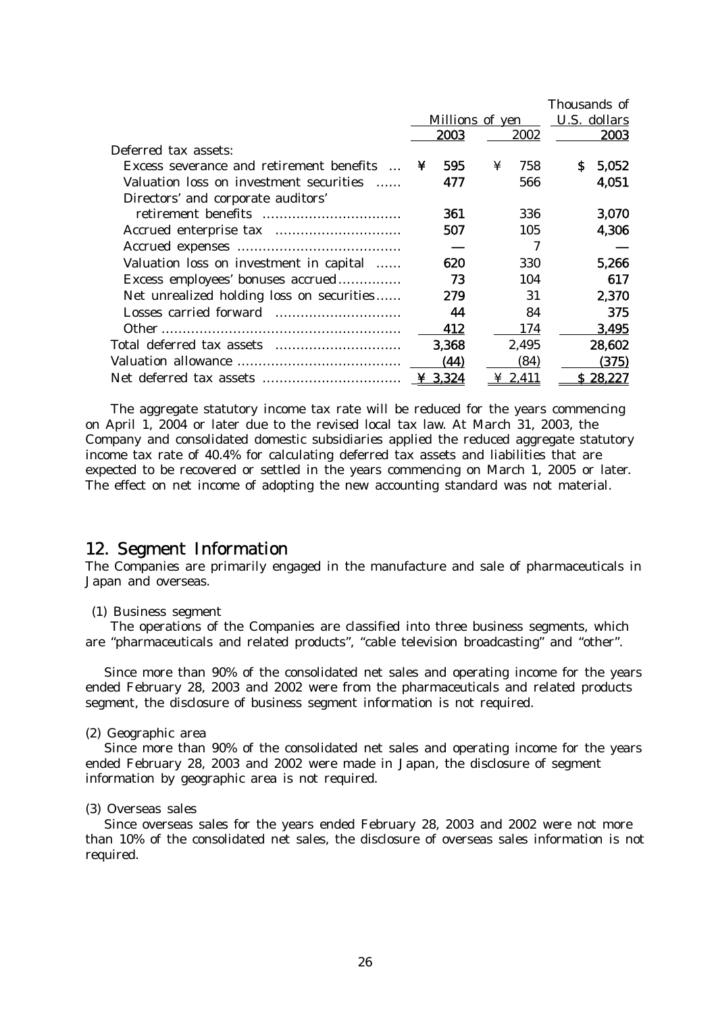|                                                                  |                 |       |   |              |              | Thousands of |  |
|------------------------------------------------------------------|-----------------|-------|---|--------------|--------------|--------------|--|
|                                                                  | Millions of yen |       |   |              | U.S. dollars |              |  |
|                                                                  |                 | 2003  |   | 2002         |              | 2003         |  |
| Deferred tax assets:                                             |                 |       |   |              |              |              |  |
| Excess severance and retirement benefits<br>$\sim$ $\sim$ $\sim$ | ¥               | 595   | ¥ | 758          | S.           | 5,052        |  |
| Valuation loss on investment securities                          |                 | 477   |   | 566          |              | 4,051        |  |
| Directors' and corporate auditors'                               |                 |       |   |              |              |              |  |
|                                                                  |                 | 361   |   | 336          |              | 3,070        |  |
|                                                                  |                 | 507   |   | 105          |              | 4,306        |  |
|                                                                  |                 |       |   | 7            |              |              |  |
| Valuation loss on investment in capital                          |                 | 620   |   | 330          |              | 5,266        |  |
| Excess employees' bonuses accrued                                |                 | 73    |   | 104          |              | 617          |  |
| Net unrealized holding loss on securities                        |                 | 279   |   | 31           |              | 2,370        |  |
|                                                                  |                 | 44    |   | 84           |              | 375          |  |
|                                                                  |                 | 412   |   | 174          |              | 3,495        |  |
|                                                                  |                 | 3,368 |   | 2,495        |              | 28,602       |  |
|                                                                  |                 | (44)  |   | (84)         |              | (375)        |  |
|                                                                  | ¥ 3,324         |       |   | $\geq 2.411$ |              | \$28,227     |  |

The aggregate statutory income tax rate will be reduced for the years commencing on April 1, 2004 or later due to the revised local tax law. At March 31, 2003, the Company and consolidated domestic subsidiaries applied the reduced aggregate statutory income tax rate of 40.4% for calculating deferred tax assets and liabilities that are expected to be recovered or settled in the years commencing on March 1, 2005 or later. The effect on net income of adopting the new accounting standard was not material.

### 12. Segment Information

The Companies are primarily engaged in the manufacture and sale of pharmaceuticals in Japan and overseas.

#### (1) Business segment

 The operations of the Companies are classified into three business segments, which are "pharmaceuticals and related products", "cable television broadcasting" and "other".

 Since more than 90% of the consolidated net sales and operating income for the years ended February 28, 2003 and 2002 were from the pharmaceuticals and related products segment, the disclosure of business segment information is not required.

#### (2) Geographic area

 Since more than 90% of the consolidated net sales and operating income for the years ended February 28, 2003 and 2002 were made in Japan, the disclosure of segment information by geographic area is not required.

#### (3) Overseas sales

 Since overseas sales for the years ended February 28, 2003 and 2002 were not more than 10% of the consolidated net sales, the disclosure of overseas sales information is not required.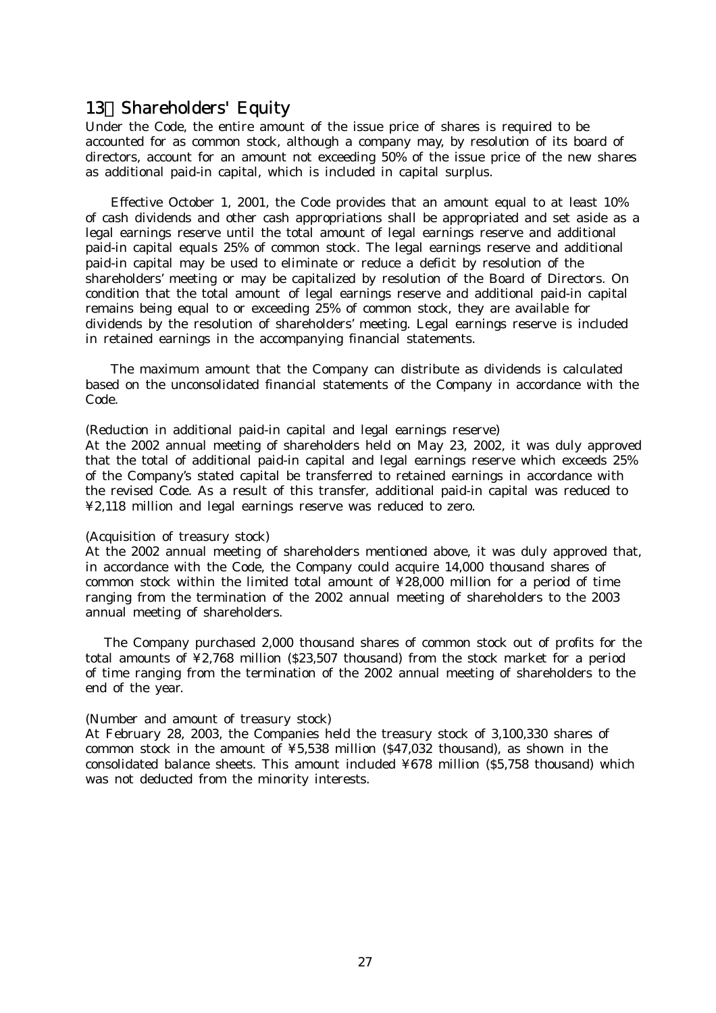## 13.Shareholders' Equity

Under the Code, the entire amount of the issue price of shares is required to be accounted for as common stock, although a company may, by resolution of its board of directors, account for an amount not exceeding 50% of the issue price of the new shares as additional paid-in capital, which is included in capital surplus.

Effective October 1, 2001, the Code provides that an amount equal to at least 10% of cash dividends and other cash appropriations shall be appropriated and set aside as a legal earnings reserve until the total amount of legal earnings reserve and additional paid-in capital equals 25% of common stock. The legal earnings reserve and additional paid-in capital may be used to eliminate or reduce a deficit by resolution of the shareholders' meeting or may be capitalized by resolution of the Board of Directors. On condition that the total amount of legal earnings reserve and additional paid-in capital remains being equal to or exceeding 25% of common stock, they are available for dividends by the resolution of shareholders' meeting. Legal earnings reserve is included in retained earnings in the accompanying financial statements.

The maximum amount that the Company can distribute as dividends is calculated based on the unconsolidated financial statements of the Company in accordance with the Code.

(Reduction in additional paid-in capital and legal earnings reserve)

At the 2002 annual meeting of shareholders held on May 23, 2002, it was duly approved that the total of additional paid-in capital and legal earnings reserve which exceeds 25% of the Company's stated capital be transferred to retained earnings in accordance with the revised Code. As a result of this transfer, additional paid-in capital was reduced to ¥2,118 million and legal earnings reserve was reduced to zero.

#### (Acquisition of treasury stock)

At the 2002 annual meeting of shareholders mentioned above, it was duly approved that, in accordance with the Code, the Company could acquire 14,000 thousand shares of common stock within the limited total amount of ¥28,000 million for a period of time ranging from the termination of the 2002 annual meeting of shareholders to the 2003 annual meeting of shareholders.

 The Company purchased 2,000 thousand shares of common stock out of profits for the total amounts of ¥2,768 million (\$23,507 thousand) from the stock market for a period of time ranging from the termination of the 2002 annual meeting of shareholders to the end of the year.

#### (Number and amount of treasury stock)

At February 28, 2003, the Companies held the treasury stock of 3,100,330 shares of common stock in the amount of ¥5,538 million (\$47,032 thousand), as shown in the consolidated balance sheets. This amount included ¥678 million (\$5,758 thousand) which was not deducted from the minority interests.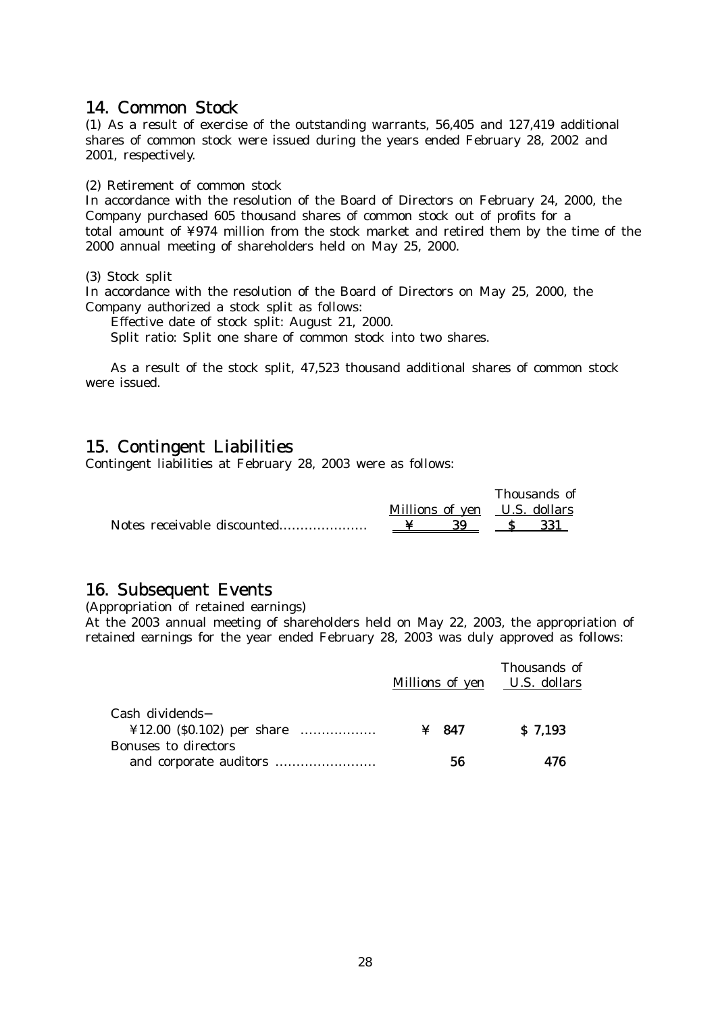## 14. Common Stock

(1) As a result of exercise of the outstanding warrants, 56,405 and 127,419 additional shares of common stock were issued during the years ended February 28, 2002 and 2001, respectively.

(2) Retirement of common stock

In accordance with the resolution of the Board of Directors on February 24, 2000, the Company purchased 605 thousand shares of common stock out of profits for a total amount of ¥974 million from the stock market and retired them by the time of the 2000 annual meeting of shareholders held on May 25, 2000.

(3) Stock split

In accordance with the resolution of the Board of Directors on May 25, 2000, the Company authorized a stock split as follows:

Effective date of stock split: August 21, 2000.

Split ratio: Split one share of common stock into two shares.

As a result of the stock split, 47,523 thousand additional shares of common stock were issued.

## 15. Contingent Liabilities

Contingent liabilities at February 28, 2003 were as follows:

|                             |                              |  | Thousands of |     |  |
|-----------------------------|------------------------------|--|--------------|-----|--|
|                             | Millions of yen U.S. dollars |  |              |     |  |
| Notes receivable discounted |                              |  |              | 331 |  |

## 16. Subsequent Events

(Appropriation of retained earnings)

At the 2003 annual meeting of shareholders held on May 22, 2003, the appropriation of retained earnings for the year ended February 28, 2003 was duly approved as follows:

|                                                                                                                                                                                                                                       | Millions of yen U.S. dollars | Thousands of |  |
|---------------------------------------------------------------------------------------------------------------------------------------------------------------------------------------------------------------------------------------|------------------------------|--------------|--|
| Cash dividends<br>$\textcolor{blue}{412.00}\textcolor{black}{(}50.102\textcolor{black}{)}\textcolor{black}{\text{per share}}\textcolor{black}{\text{}}\textcolor{black}{\text{}}\textcolor{black}{\text{}}\textcolor{black}{\text{}}$ | $\angle 847$                 | \$7,193      |  |
| <b>Bonuses to directors</b>                                                                                                                                                                                                           | 56                           | 476          |  |